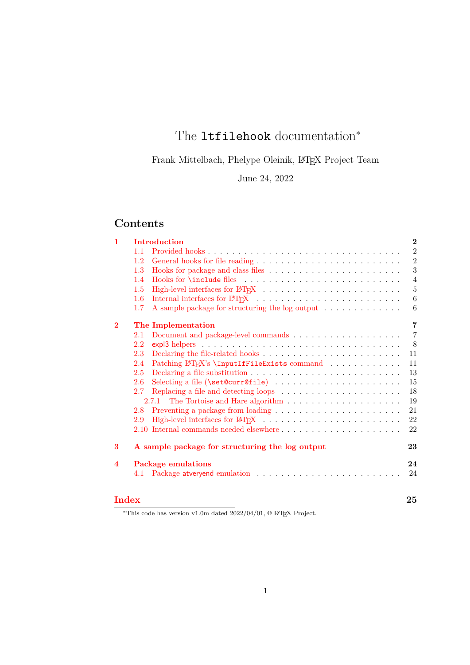# The **ltfilehook** documentation<sup>∗</sup>

Frank Mittelbach, Phelype Oleinik, L<sup>AT</sup>EX Project Team

June 24, 2022

# **Contents**

| $\mathbf{1}$     | Introduction |                                                                                                           |                |
|------------------|--------------|-----------------------------------------------------------------------------------------------------------|----------------|
|                  | 1.1          | Provided hooks                                                                                            | $\overline{2}$ |
|                  | 1.2          |                                                                                                           | $\overline{2}$ |
|                  | 1.3          |                                                                                                           | 3              |
|                  | 1.4          |                                                                                                           | $\overline{4}$ |
|                  | $1.5\,$      |                                                                                                           | $\bf 5$        |
|                  | $1.6\,$      |                                                                                                           | 6              |
|                  | 1.7          | A sample package for structuring the log output                                                           | 6              |
| $\bf{2}$         |              | The Implementation                                                                                        | $\overline{7}$ |
|                  | 2.1          | Document and package-level commands $\dots \dots \dots \dots \dots \dots \dots$                           | $\overline{7}$ |
|                  | 2.2          | $\exp$ and $\sec$ and $\sec$ and $\sec$ and $\sec$ and $\sec$ and $\sec$ and $\sec$ and $\sec$ and $\sec$ | 8              |
|                  | 2.3          |                                                                                                           | 11             |
|                  | 2.4          | Patching LAT <sub>F</sub> X's \InputIfFileExists command                                                  | 11             |
|                  | 2.5          |                                                                                                           | 13             |
|                  | 2.6          |                                                                                                           | 15             |
|                  | 2.7          | Replacing a file and detecting loops $\ldots \ldots \ldots \ldots \ldots \ldots \ldots$                   | 18             |
|                  |              |                                                                                                           | 19             |
|                  | 2.8          | Preventing a package from loading $\dots \dots \dots \dots \dots \dots \dots \dots$                       | 21             |
|                  | 2.9          |                                                                                                           | 22             |
|                  |              |                                                                                                           | 22             |
| 3                |              | A sample package for structuring the log output                                                           | 23             |
| $\boldsymbol{4}$ |              | <b>Package emulations</b>                                                                                 | 24             |
|                  | 4.1          |                                                                                                           | 24             |
|                  |              |                                                                                                           |                |
| Index            |              |                                                                                                           | 25             |

\*This code has version v1.0m dated  $2022/04/01$ , © L<sup>AT</sup>EX Project.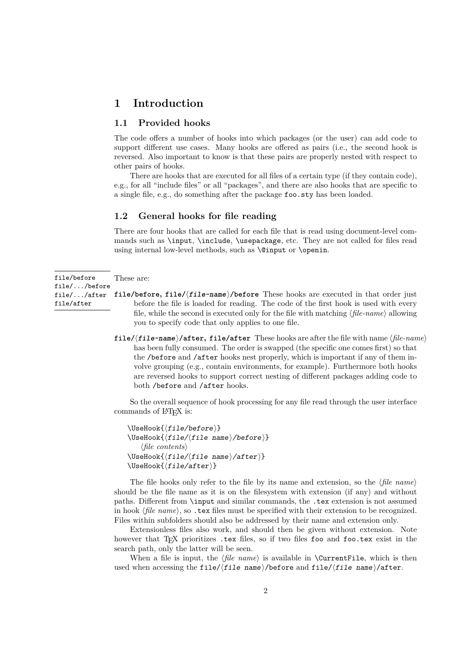## <span id="page-1-3"></span><span id="page-1-0"></span>**1 Introduction**

#### <span id="page-1-1"></span>**1.1 Provided hooks**

The code offers a number of hooks into which packages (or the user) can add code to support different use cases. Many hooks are offered as pairs (i.e., the second hook is reversed. Also important to know is that these pairs are properly nested with respect to other pairs of hooks.

There are hooks that are executed for all files of a certain type (if they contain code), e.g., for all "include files" or all "packages", and there are also hooks that are specific to a single file, e.g., do something after the package foo.sty has been loaded.

#### <span id="page-1-2"></span>**1.2 General hooks for file reading**

There are four hooks that are called for each file that is read using document-level commands such as \input, \include, \usepackage, etc. They are not called for files read using internal low-level methods, such as \@input or \openin.

file/before file/.../before file/.../after file/after

These are:

- **file/before, file/**⟨**file-name**⟩**/before** These hooks are executed in that order just before the file is loaded for reading. The code of the first hook is used with every file, while the second is executed only for the file with matching ⟨*file-name*⟩ allowing you to specify code that only applies to one file.
- **file/**⟨**file-name**⟩**/after, file/after** These hooks are after the file with name ⟨*file-name*⟩ has been fully consumed. The order is swapped (the specific one comes first) so that the /before and /after hooks nest properly, which is important if any of them involve grouping (e.g., contain environments, for example). Furthermore both hooks are reversed hooks to support correct nesting of different packages adding code to both /before and /after hooks.

So the overall sequence of hook processing for any file read through the user interface commands of L<sup>AT</sup>EX is:

```
\UseHook{⟨file/before⟩}
\UseHook{⟨file/⟨file name⟩/before⟩}
   ⟨file contents⟩
\UseHook{⟨file/⟨file name⟩/after⟩}
\UseHook{⟨file/after⟩}
```
The file hooks only refer to the file by its name and extension, so the ⟨*file name*⟩ should be the file name as it is on the filesystem with extension (if any) and without paths. Different from \input and similar commands, the .tex extension is not assumed in hook ⟨*file name*⟩, so .tex files must be specified with their extension to be recognized. Files within subfolders should also be addressed by their name and extension only.

Extensionless files also work, and should then be given without extension. Note however that TEX prioritizes .tex files, so if two files foo and foo.tex exist in the search path, only the latter will be seen.

When a file is input, the  $\langle$ *file name* $\rangle$  is available in **\CurrentFile**, which is then used when accessing the file/ $/file$  name $\rangle$ /before and file/ $/file$  name $\rangle$ /after.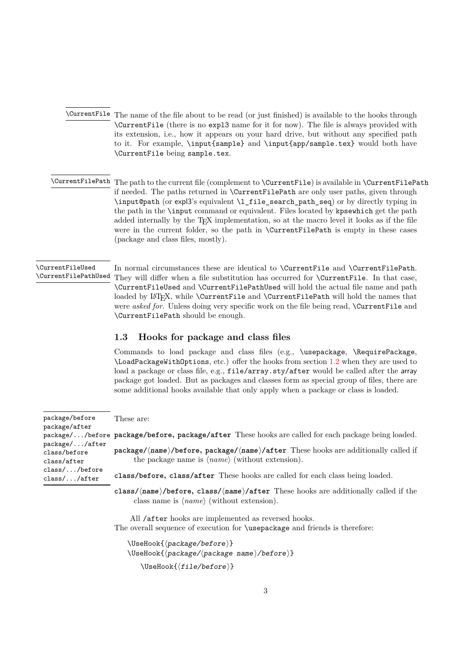- <span id="page-2-4"></span><span id="page-2-1"></span>\CurrentFile The name of the file about to be read (or just finished) is available to the hooks through \CurrentFile (there is no expl3 name for it for now). The file is always provided with its extension, i.e., how it appears on your hard drive, but without any specified path to it. For example, \input{sample} and \input{app/sample.tex} would both have \CurrentFile being sample.tex.
- <span id="page-2-2"></span> $\Upsilon$  are  $F$ ilePath The path to the current file (complement to  $\Upsilon$ urrentFile) is available in  $\Upsilon$ urrentFilePath if needed. The paths returned in \CurrentFilePath are only user paths, given through \input@path (or expl3's equivalent \l\_file\_search\_path\_seq) or by directly typing in the path in the \input command or equivalent. Files located by kpsewhich get the path added internally by the TEX implementation, so at the macro level it looks as if the file were in the current folder, so the path in **\CurrentFilePath** is empty in these cases (package and class files, mostly).

#### <span id="page-2-3"></span>\CurrentFileUsed \CurrentFilePathUsed

In normal circumstances these are identical to \CurrentFile and \CurrentFilePath. They will differ when a file substitution has occurred for \CurrentFile. In that case, \CurrentFileUsed and \CurrentFilePathUsed will hold the actual file name and path loaded by LATEX, while **\CurrentFile** and **\CurrentFilePath** will hold the names that were *asked for*. Unless doing very specific work on the file being read, **\CurrentFile** and \CurrentFilePath should be enough.

#### <span id="page-2-0"></span>**1.3 Hooks for package and class files**

Commands to load package and class files (e.g., \usepackage, \RequirePackage, \LoadPackageWithOptions, etc.) offer the hooks from section [1.2](#page-1-2) when they are used to load a package or class file, e.g., file/array.sty/after would be called after the array package got loaded. But as packages and classes form as special group of files, there are some additional hooks available that only apply when a package or class is loaded.

#### These are:

 $\mathsf{package}/\ldots$ /before  $\mathsf{package}/\mathsf{before},\mathsf{package}/\mathsf{after}$  These hooks are called for each package being loaded. **package/**⟨**name**⟩**/before, package/**⟨**name**⟩**/after** These hooks are additionally called if the package name is ⟨*name*⟩ (without extension). **class/before, class/after** These hooks are called for each class being loaded. **class/**⟨**name**⟩**/before, class/**⟨**name**⟩**/after** These hooks are additionally called if the class name is ⟨*name*⟩ (without extension). package/before package/after package/.../after class/before class/after class/.../before class/.../after

All /after hooks are implemented as reversed hooks. The overall sequence of execution for \usepackage and friends is therefore:

\UseHook{⟨package/before⟩} \UseHook{⟨package/⟨package name⟩/before⟩}

\UseHook{⟨file/before⟩}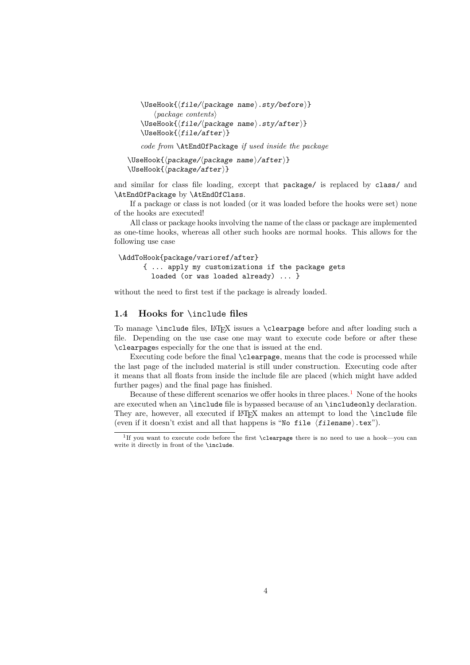```
\UseHook{⟨file/⟨package name⟩.sty/before⟩}
   ⟨package contents⟩
\UseHook{⟨file/⟨package name⟩.sty/after⟩}
\UseHook{⟨file/after⟩}
```
*code from* \AtEndOfPackage *if used inside the package*

\UseHook{⟨package/⟨package name⟩/after⟩} \UseHook{⟨package/after⟩}

and similar for class file loading, except that package/ is replaced by class/ and \AtEndOfPackage by \AtEndOfClass.

If a package or class is not loaded (or it was loaded before the hooks were set) none of the hooks are executed!

All class or package hooks involving the name of the class or package are implemented as one-time hooks, whereas all other such hooks are normal hooks. This allows for the following use case

```
\AddToHook{package/varioref/after}
     { ... apply my customizations if the package gets
       loaded (or was loaded already) ... }
```
without the need to first test if the package is already loaded.

#### <span id="page-3-0"></span>**1.4 Hooks for** \include **files**

To manage \include files, LATEX issues a \clearpage before and after loading such a file. Depending on the use case one may want to execute code before or after these \clearpages especially for the one that is issued at the end.

Executing code before the final \clearpage, means that the code is processed while the last page of the included material is still under construction. Executing code after it means that all floats from inside the include file are placed (which might have added further pages) and the final page has finished.

Because of these different scenarios we offer hooks in three places.<sup>[1](#page-3-1)</sup> None of the hooks are executed when an \include file is bypassed because of an \includeonly declaration. They are, however, all executed if LATEX makes an attempt to load the **\include** file (even if it doesn't exist and all that happens is "No file  $\langle$  filename $\rangle$ .tex").

<span id="page-3-1"></span><sup>1</sup> If you want to execute code before the first \clearpage there is no need to use a hook—you can write it directly in front of the \include.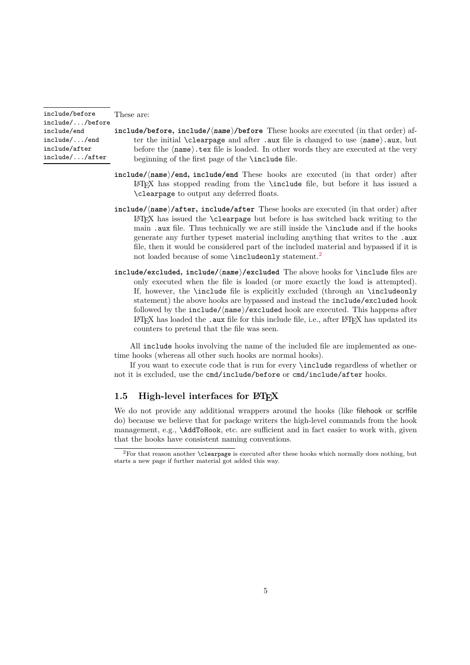include/before include/.../before include/end

include/.../end include/after include/.../after <span id="page-4-2"></span>These are:

- **include/before, include/**⟨**name**⟩**/before** These hooks are executed (in that order) after the initial \clearpage and after .aux file is changed to use ⟨name⟩.aux, but before the ⟨name⟩.tex file is loaded. In other words they are executed at the very beginning of the first page of the \include file.
- **include/**⟨**name**⟩**/end, include/end** These hooks are executed (in that order) after LATEX has stopped reading from the \include file, but before it has issued a \clearpage to output any deferred floats.
- **include/**⟨**name**⟩**/after, include/after** These hooks are executed (in that order) after  $\Delta$ EX has issued the **\clearpage** but before is has switched back writing to the main .aux file. Thus technically we are still inside the \include and if the hooks generate any further typeset material including anything that writes to the .aux file, then it would be considered part of the included material and bypassed if it is not loaded because of some **\includeonly** statement.<sup>[2](#page-4-1)</sup>
- **include/excluded, include/**⟨**name**⟩**/excluded** The above hooks for \include files are only executed when the file is loaded (or more exactly the load is attempted). If, however, the \include file is explicitly excluded (through an \includeonly statement) the above hooks are bypassed and instead the include/excluded hook followed by the include/⟨name⟩/excluded hook are executed. This happens after LATEX has loaded the .aux file for this include file, i.e., after LATEX has updated its counters to pretend that the file was seen.

All include hooks involving the name of the included file are implemented as onetime hooks (whereas all other such hooks are normal hooks).

If you want to execute code that is run for every \include regardless of whether or not it is excluded, use the cmd/include/before or cmd/include/after hooks.

#### <span id="page-4-0"></span>1.5 High-level interfaces for LAT<sub>E</sub>X

We do not provide any additional wrappers around the hooks (like filehook or scrlfile do) because we believe that for package writers the high-level commands from the hook management, e.g., \AddToHook, etc. are sufficient and in fact easier to work with, given that the hooks have consistent naming conventions.

<span id="page-4-1"></span><sup>2</sup>For that reason another \clearpage is executed after these hooks which normally does nothing, but starts a new page if further material got added this way.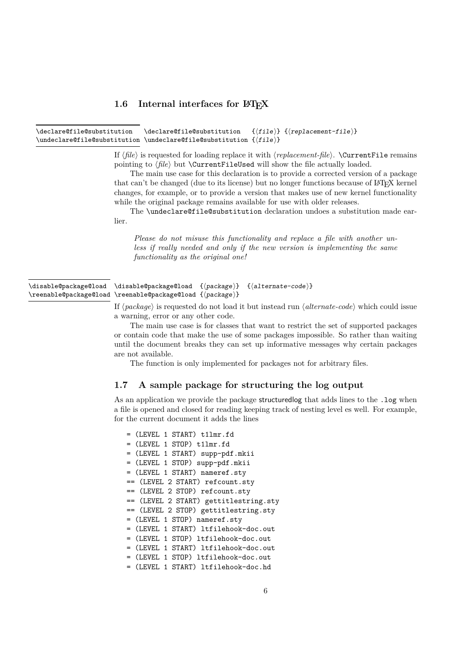#### <span id="page-5-4"></span><span id="page-5-0"></span>1.6 Internal interfaces for  $\text{LipX}$

<span id="page-5-2"></span>\declare@file@substitution {⟨file⟩} {⟨replacement-file⟩}  $\l \undecla \ref{file@substitution} \underclare@file@substitution {file}$ \declare@file@substitution

> If ⟨*file*⟩ is requested for loading replace it with ⟨*replacement-file*⟩. \CurrentFile remains pointing to  $\langle file \rangle$  but **\CurrentFileUsed** will show the file actually loaded.

> The main use case for this declaration is to provide a corrected version of a package that can't be changed (due to its license) but no longer functions because of  $L^2T_FX$  kernel changes, for example, or to provide a version that makes use of new kernel functionality while the original package remains available for use with older releases.

> The \undeclare@file@substitution declaration undoes a substitution made earlier.

*Please do not misuse this functionality and replace a file with another unless if really needed and only if the new version is implementing the same functionality as the original one!*

<span id="page-5-3"></span>

| \disable@package@load \disable@package@load {(package)} {(alternate-code)} |  |  |
|----------------------------------------------------------------------------|--|--|
| \reenable@package@load \reenable@package@load {\package}}                  |  |  |

If ⟨*package*⟩ is requested do not load it but instead run ⟨*alternate-code*⟩ which could issue a warning, error or any other code.

The main use case is for classes that want to restrict the set of supported packages or contain code that make the use of some packages impossible. So rather than waiting until the document breaks they can set up informative messages why certain packages are not available.

The function is only implemented for packages not for arbitrary files.

#### <span id="page-5-1"></span>**1.7 A sample package for structuring the log output**

As an application we provide the package structuredlog that adds lines to the .log when a file is opened and closed for reading keeping track of nesting level es well. For example, for the current document it adds the lines

= (LEVEL 1 START) t1lmr.fd = (LEVEL 1 STOP) t1lmr.fd = (LEVEL 1 START) supp-pdf.mkii = (LEVEL 1 STOP) supp-pdf.mkii = (LEVEL 1 START) nameref.sty == (LEVEL 2 START) refcount.sty == (LEVEL 2 STOP) refcount.sty == (LEVEL 2 START) gettitlestring.sty == (LEVEL 2 STOP) gettitlestring.sty = (LEVEL 1 STOP) nameref.sty = (LEVEL 1 START) ltfilehook-doc.out = (LEVEL 1 STOP) ltfilehook-doc.out = (LEVEL 1 START) ltfilehook-doc.out = (LEVEL 1 STOP) ltfilehook-doc.out = (LEVEL 1 START) ltfilehook-doc.hd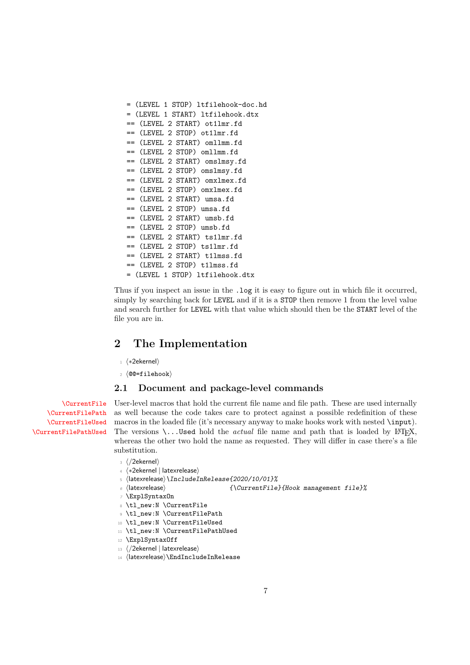```
= (LEVEL 1 STOP) ltfilehook-doc.hd
= (LEVEL 1 START) ltfilehook.dtx
== (LEVEL 2 START) ot1lmr.fd
== (LEVEL 2 STOP) ot1lmr.fd
== (LEVEL 2 START) omllmm.fd
== (LEVEL 2 STOP) omllmm.fd
== (LEVEL 2 START) omslmsy.fd
== (LEVEL 2 STOP) omslmsy.fd
== (LEVEL 2 START) omxlmex.fd
== (LEVEL 2 STOP) omxlmex.fd
== (LEVEL 2 START) umsa.fd
== (LEVEL 2 STOP) umsa.fd
== (LEVEL 2 START) umsb.fd
== (LEVEL 2 STOP) umsb.fd
== (LEVEL 2 START) ts1lmr.fd
== (LEVEL 2 STOP) ts1lmr.fd
== (LEVEL 2 START) t1lmss.fd
== (LEVEL 2 STOP) t1lmss.fd
= (LEVEL 1 STOP) ltfilehook.dtx
```
Thus if you inspect an issue in the .log it is easy to figure out in which file it occurred, simply by searching back for LEVEL and if it is a STOP then remove 1 from the level value and search further for LEVEL with that value which should then be the START level of the file you are in.

# <span id="page-6-0"></span>**2 The Implementation**

- <sup>1</sup> ⟨∗2ekernel⟩
- <sup>2</sup> ⟨@@=filehook⟩

#### <span id="page-6-1"></span>**2.1 Document and package-level commands**

[\CurrentFile](#page-2-1) [\CurrentFilePath](#page-2-2) [\CurrentFileUsed](#page-2-3) [\CurrentFilePathUsed](#page-2-3)

<span id="page-6-2"></span>User-level macros that hold the current file name and file path. These are used internally as well because the code takes care to protect against a possible redefinition of these macros in the loaded file (it's necessary anyway to make hooks work with nested \input). The versions  $\ldots$  Used hold the *actual* file name and path that is loaded by LATEX, whereas the other two hold the name as requested. They will differ in case there's a file substitution.

- <sup>3</sup> ⟨*/*2ekernel⟩
- <sup>4</sup> ⟨∗2ekernel | latexrelease⟩
- <span id="page-6-6"></span><sup>5</sup> ⟨latexrelease⟩\IncludeInRelease{2020/10/01}%
- <sup>6</sup> ⟨latexrelease⟩ {\CurrentFile}{Hook management file}%
- <span id="page-6-5"></span><sup>7</sup> \ExplSyntaxOn
- <span id="page-6-8"></span><sup>8</sup> \tl\_new:N \CurrentFile
- <span id="page-6-9"></span><sup>9</sup> \tl\_new:N \CurrentFilePath
- <span id="page-6-10"></span><sup>10</sup> \tl\_new:N \CurrentFileUsed
- <span id="page-6-11"></span><sup>11</sup> \tl\_new:N \CurrentFilePathUsed
- <span id="page-6-4"></span><sup>12</sup> \ExplSyntaxOff
- <sup>13</sup> ⟨*/*2ekernel | latexrelease⟩
- <span id="page-6-3"></span><sup>14</sup> ⟨latexrelease⟩\EndIncludeInRelease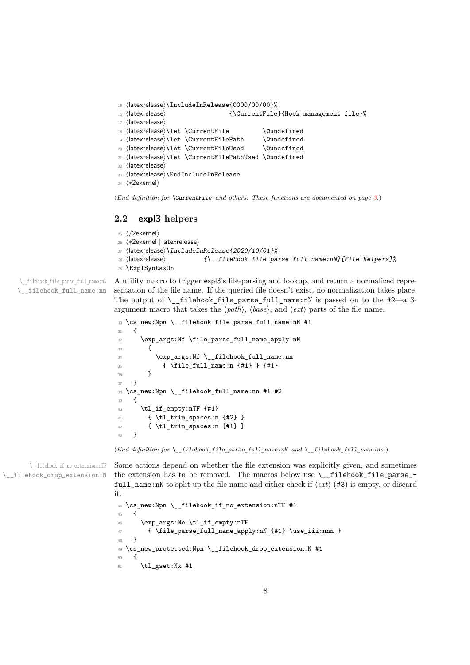```
15 ⟨latexrelease⟩\IncludeInRelease{0000/00/00}%
16 ⟨latexrelease⟩ {\CurrentFile}{Hook management file}%
17 ⟨latexrelease⟩
18 (latexrelease)\let \CurrentFile \@undefined
19 (latexrelease)\let \CurrentFilePath \@undefined
20 \langlelatexrelease\rangle\let \CurrentFileUsed \@undefined
21 ⟨latexrelease⟩\let \CurrentFilePathUsed \@undefined
22 ⟨latexrelease⟩
23 ⟨latexrelease⟩\EndIncludeInRelease
24 ⟨∗2ekernel⟩
```
<span id="page-7-21"></span><span id="page-7-5"></span>(*End definition for* \CurrentFile *and others. These functions are documented on page [3.](#page-2-1)*)

#### <span id="page-7-0"></span>**2.2 expl3 helpers**

```
25 ⟨/2ekernel⟩
26 ⟨∗2ekernel | latexrelease⟩
27 ⟨latexrelease⟩\IncludeInRelease{2020/10/01}%
28 \langle atexrelease\rangle ( \{ \ filehook file parse full name:nN}{File helpers}%
29 \ExplSyntaxOn
```
\\_\_filehook\_file\_parse\_full\_name:nN \\_filehook\_full\_name:nn

<span id="page-7-15"></span><span id="page-7-14"></span><span id="page-7-9"></span>A utility macro to trigger expl3's file-parsing and lookup, and return a normalized representation of the file name. If the queried file doesn't exist, no normalization takes place. The output of  $\Leftrightarrow$  filehook\_file\_parse\_full\_name:nN is passed on to the #2—a 3argument macro that takes the ⟨*path*⟩, ⟨*base*⟩, and ⟨*ext*⟩ parts of the file name.

```
30 \cs_new:Npn \__filehook_file_parse_full_name:nN #1
31 \quad \text{f}32 \exp_args:Nf \file_parse_full_name_apply:nN
33 \qquad \qquad \textbf{\textlarge{}}34 \exp_args:Nf \__filehook_full_name:nn
35 { \file_full_name:n {#1} } {#1}
36 }
37 }
38 \cs_new:Npn \__filehook_full_name:nn #1 #2
30 \sim f
40 \tl_if_empty:nTF {#1}
41 \{ \tilde{\tilde{t}}_t \}42 { \tl_trim_spaces:n {#1} }
43 }
```
<span id="page-7-25"></span><span id="page-7-24"></span><span id="page-7-23"></span><span id="page-7-2"></span>(*End definition for*  $\setminus$  filehook file parse full name:nN and  $\setminus$  filehook full name:nn.)

\\_\_filehook\_if\_no\_extension:nTF \\_\_filehook\_drop\_extension:N

<span id="page-7-12"></span>Some actions depend on whether the file extension was explicitly given, and sometimes the extension has to be removed. The macros below use \\_\_filehook\_file\_parse\_ full\_name:nN to split up the file name and either check if  $\langle ext \rangle$  (#3) is empty, or discard it. <sup>44</sup> \cs\_new:Npn \\_\_filehook\_if\_no\_extension:nTF #1

```
45 {
46 \exp_args:Ne \tl_if_empty:nTF
47 { \file_parse_full_name_apply:nN {#1} \use_iii:nnn }
48 }
49 \cs_new_protected:Npn \__filehook_drop_extension:N #1
50 {
51 \tl_gset:Nx #1
```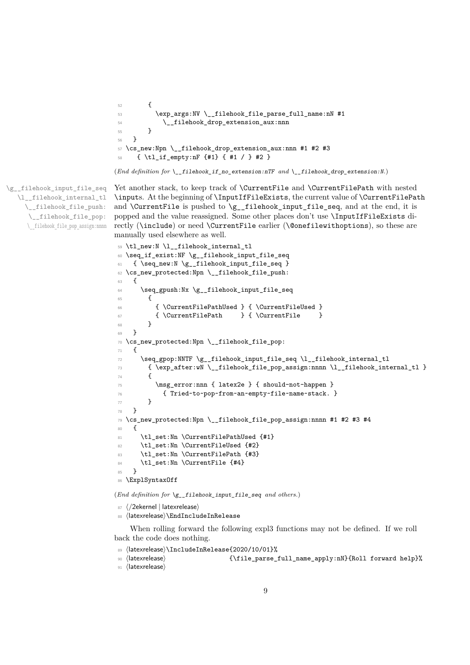```
52 \left\{ \begin{array}{c} \end{array} \right\}53 \exp_args:NV \__filehook_file_parse_full_name:nN #1
54 \__filehook_drop_extension_aux:nnn
55 }
56 }
57 \cs_new:Npn \__filehook_drop_extension_aux:nnn #1 #2 #3
58 { \tl_if_empty:nF {#1} { #1 / } #2 }
```

```
(End definition for \__filehook_if_no_extension:nTF and \__filehook_drop_extension:N.)
```
\g\_\_filehook\_input\_file\_seq \l filehook internal tl \\_\_filehook\_file\_push: \\_\_filehook\_file\_pop: \\_\_filehook\_file\_pop\_assign:nnnn

<span id="page-8-17"></span>Yet another stack, to keep track of **\CurrentFile** and **\CurrentFilePath** with nested \inputs. At the beginning of \InputIfFileExists, the current value of \CurrentFilePath and  $\C{CurrentFile}$  is pushed to  $\gtrsim_ffilehook$  input\_file\_seq, and at the end, it is popped and the value reassigned. Some other places don't use \InputIfFileExists directly (\include) or need \CurrentFile earlier (\@onefilewithoptions), so these are manually used elsewhere as well.

```
59 \tl_new:N \l__filehook_internal_tl
60 \seq_if_exist:NF \g__filehook_input_file_seq
61 { \seq_new:N \g__filehook_input_file_seq }
62 \cs_new_protected:Npn \__filehook_file_push:
63 {
64 \seq_gpush:Nx \g__filehook_input_file_seq
65 {
66 { \CurrentFilePathUsed } { \CurrentFileUsed }
\begin{array}{ccc}\n\text{67}&\text{67}&\text{67}&\text{68}&\text{69}&\text{69}&\text{69}&\text{69}&\text{69}&\text{69}&\text{69}&\text{69}&\text{69}&\text{69}&\text{69}&\text{69}&\text{69}&\text{69}&\text{69}&\text{69}&\text{69}&\text{69}&\text{69}&\text{69}&\text{69}&\text{69}&\text{69}&\text{69}&\text{69}&\text{69}&\text{69}&\text{69}&\text{69}&\text{69}&\text{69}&\text68 }
69 }
70 \cs_new_protected:Npn \__filehook_file_pop:
71 \epsilon72 \seq_gpop:NNTF \g__filehook_input_file_seq \l__filehook_internal_tl
73 { \exp_after:wN \__filehook_file_pop_assign:nnnn \l__filehook_internal_tl }
74 {
75 \msg_error:nnn { latex2e } { should-not-happen }
76 { Tried~to~pop~from~an~empty~file~name~stack. }
77 }
78 }
79 \cs_new_protected:Npn \__filehook_file_pop_assign:nnnn #1 #2 #3 #4
80 {
81 \tl_set:Nn \CurrentFilePathUsed {#1}
82 \tl_set:Nn \CurrentFileUsed {#2}
83 \tl_set:Nn \CurrentFilePath {#3}
84 \tl_set:Nn \CurrentFile {#4}
85 }
86 \ExplSyntaxOff
```
<span id="page-8-19"></span><span id="page-8-14"></span><span id="page-8-10"></span><span id="page-8-9"></span><span id="page-8-7"></span><span id="page-8-6"></span><span id="page-8-3"></span>(*End definition for* \g\_\_filehook\_input\_file\_seq *and others.*)

- 87 (/2ekernel | latexrelease)
- <span id="page-8-11"></span>88 (latexrelease)\EndIncludeInRelease

When rolling forward the following expl3 functions may not be defined. If we roll back the code does nothing.

- <span id="page-8-18"></span>89 (latexrelease)\IncludeInRelease{2020/10/01}%
- <span id="page-8-15"></span><sup>90</sup> ⟨latexrelease⟩ {\file\_parse\_full\_name\_apply:nN}{Roll forward help}%
- <sup>91</sup> ⟨latexrelease⟩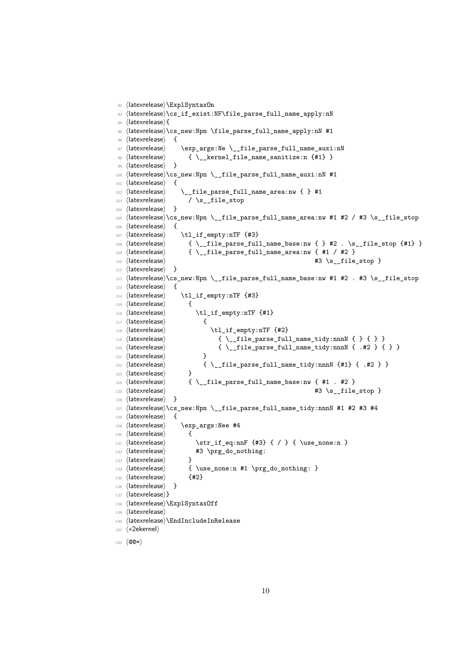```
92 ⟨latexrelease⟩\ExplSyntaxOn
93 ⟨latexrelease⟩\cs_if_exist:NF\file_parse_full_name_apply:nN
94 ⟨latexrelease⟩{
95 ⟨latexrelease⟩\cs_new:Npn \file_parse_full_name_apply:nN #1
96 ⟨latexrelease⟩ {
97 (latexrelease) \exp_args:Ne \__file_parse_full_name_auxi:nN
98 ⟨latexrelease⟩ { \__kernel_file_name_sanitize:n {#1} }
99 (latexrelease) }
100 ⟨latexrelease⟩\cs_new:Npn \__file_parse_full_name_auxi:nN #1
101 ⟨latexrelease⟩ {
102 ⟨latexrelease⟩ \__file_parse_full_name_area:nw { } #1
103 \langlelatexrelease\rangle / \s_file_stop
104 ⟨latexrelease⟩ }
105 ⟨latexrelease⟩\cs_new:Npn \__file_parse_full_name_area:nw #1 #2 / #3 \s__file_stop
106 ⟨latexrelease⟩ {
107 (latexrelease) \tl_if_empty:nTF {#3}
108 ⟨latexrelease⟩ { \__file_parse_full_name_base:nw { } #2 . \s__file_stop {#1} }
109 \langle atexrelease\rangle { \setminus_file_parse_full_name_area:nw { #1 / #2 }
110 \langle at excelense \rangle \qquad \qquad \qquad \qquad \qquad \qquad \qquad \qquad \qquad \qquad \qquad \qquad \qquad \qquad \qquad \qquad \qquad \qquad \qquad \qquad \qquad \qquad \qquad \qquad \qquad \qquad \qquad \qquad \qquad \qquad \qquad \qquad \q111 (latexrelease) }
112 \left(\text{latexrelease}\cos\theta\right) \cs_new:Npn \_file_parse_full_name_base:nw #1 #2 . #3 \s__file_stop
113 (latexrelease) {
114 ⟨latexrelease⟩ \tl_if_empty:nTF {#3}
115 (latexrelease) {
116 \langle | atexrelease\rangle \tl_if_empty:nTF {#1}
117 (latexrelease) {
118 (latexrelease) \setminustl_if_empty:nTF {#2}
119 \langle atexrelease\rangle { \angle_file_parse_full_name_tidy:nnnN { } { } }
120 \langle atexrelease\rangle { \__file_parse_full_name_tidy:nnnN { .#2 } { } }
121 (latexrelease) }
122 \langle atexrelease\rangle { \angle_file_parse_full_name_tidy:nnnN {#1} { .#2 } }
123 (latexrelease) }
124 \langle atexrelease\rangle { \setminus_file_parse_full_name_base:nw { #1 . #2 }
125 (latexrelease) 25 (latexrelease) \uparrow 3 \s_file_stop }
126 (latexrelease) }
127 \langle |atexrelease\rangle\cs_new:Npn \__file_parse_full_name_tidy:nnnN #1 #2 #3 #4
128 (latexrelease) {
129 (latexrelease) \exp_args:Nee #4
130 (latexrelease) {
131 \langle /atexrelease\rangle \str_if_eq:nnF {#3} { / } { \use_none:n }
132 (latexrelease) #3 \prg_do_nothing:
133 (latexrelease) }
134 \text{lease} { \use_none:n #1 \prg_do_nothing: }
135 ⟨latexrelease⟩ {#2}
136 ⟨latexrelease⟩ }
137 (latexrelease)}
138 ⟨latexrelease⟩\ExplSyntaxOff
139 ⟨latexrelease⟩
140 ⟨latexrelease⟩\EndIncludeInRelease
141 ⟨∗2ekernel⟩
142 ⟨@@=⟩
```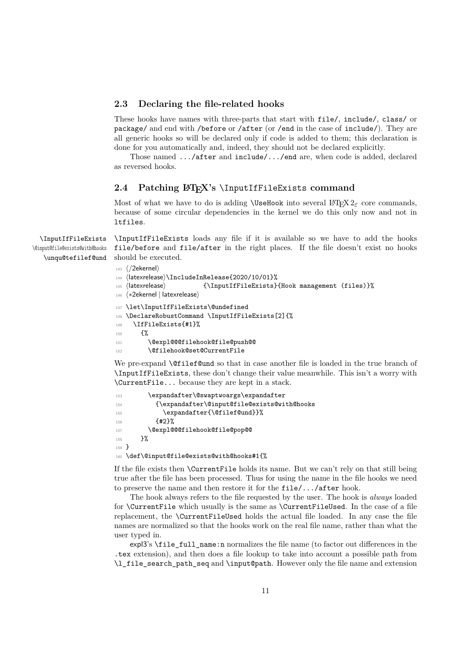#### <span id="page-10-2"></span><span id="page-10-0"></span>**2.3 Declaring the file-related hooks**

These hooks have names with three-parts that start with file/, include/, class/ or package/ and end with /before or /after (or /end in the case of include/). They are all generic hooks so will be declared only if code is added to them; this declaration is done for you automatically and, indeed, they should not be declared explicitly.

Those named .../after and include/.../end are, when code is added, declared as reversed hooks.

#### <span id="page-10-1"></span>2.4 Patching LA<sub>I</sub><sub>F</sub>X's *\InputIfFileExists command*

Most of what we have to do is adding **\UseHook** into several  $\text{LATEX} 2\varepsilon$  core commands, because of some circular dependencies in the kernel we do this only now and not in ltfiles.

\InputIfFileExists \@input@file@exists@with@hooks \unqu@tefilef@und \InputIfFileExists loads any file if it is available so we have to add the hooks file/before and file/after in the right places. If the file doesn't exist no hooks should be executed.

```
143 ⟨/2ekernel⟩
144 ⟨latexrelease⟩\IncludeInRelease{2020/10/01}%
145 ⟨latexrelease⟩ {\InputIfFileExists}{Hook management (files)}%
146 ⟨∗2ekernel | latexrelease⟩
147 \let\InputIfFileExists\@undefined
148 \DeclareRobustCommand \InputIfFileExists[2]{%
149 \IfFileExists{#1}%
150 \frac{1}{20}151 \@expl@@@filehook@file@push@@
152 \@filehook@set@CurrentFile
```
<span id="page-10-14"></span><span id="page-10-13"></span><span id="page-10-8"></span>We pre-expand **\@filef@und** so that in case another file is loaded in the true branch of \InputIfFileExists, these don't change their value meanwhile. This isn't a worry with \CurrentFile... because they are kept in a stack.

<span id="page-10-12"></span><span id="page-10-7"></span><span id="page-10-6"></span><span id="page-10-5"></span>

| 153     | \expandafter\@swaptwoargs\expandafter       |
|---------|---------------------------------------------|
| 154     | {\expandafter\@input@file@exists@with@hooks |
| 155     | \expandafter{\@filef@und}}%                 |
| 156     | ${42}$                                      |
| 157     | \@expl@@@filehook@file@pop@@                |
| 158     | ጉ%                                          |
| $159$ } |                                             |
| 160     | \def\@input@file@exists@with@hooks#1{%      |

<span id="page-10-4"></span>If the file exists then \CurrentFile holds its name. But we can't rely on that still being true after the file has been processed. Thus for using the name in the file hooks we need to preserve the name and then restore it for the file/.../after hook.

The hook always refers to the file requested by the user. The hook is *always* loaded for \CurrentFile which usually is the same as \CurrentFileUsed. In the case of a file replacement, the \CurrentFileUsed holds the actual file loaded. In any case the file names are normalized so that the hooks work on the real file name, rather than what the user typed in.

expl3's \file\_full\_name:n normalizes the file name (to factor out differences in the .tex extension), and then does a file lookup to take into account a possible path from \l\_file\_search\_path\_seq and \input@path. However only the file name and extension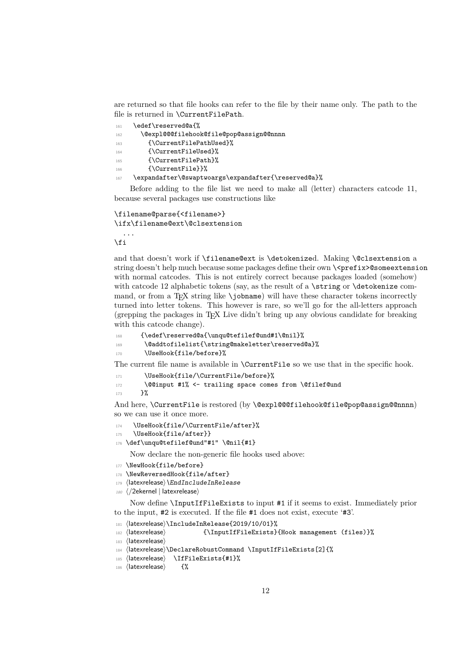<span id="page-11-0"></span>are returned so that file hooks can refer to the file by their name only. The path to the file is returned in \CurrentFilePath.

<span id="page-11-19"></span><span id="page-11-9"></span><span id="page-11-6"></span><span id="page-11-5"></span>

| 161 | \edef\reserved@a{%                                  |
|-----|-----------------------------------------------------|
| 162 | \@exp1@@@filehook@file@pop@assign@@nnnn             |
| 163 | {\CurrentFilePathUsed}%                             |
| 164 | {\CurrentFileUsed}%                                 |
| 165 | {\CurrentFilePath}%                                 |
| 166 | {\CurrentFile}}%                                    |
| 167 | \expandafter\@swaptwoargs\expandafter{\reserved@a}% |

<span id="page-11-12"></span><span id="page-11-4"></span><span id="page-11-1"></span>Before adding to the file list we need to make all (letter) characters catcode 11, because several packages use constructions like

```
\filename@parse{<filename>}
\ifx\filename@ext\@clsextension
  ...
```
\fi

and that doesn't work if \filename@ext is \detokenized. Making \@clsextension a string doesn't help much because some packages define their own \ <prefix>@someextension with normal catcodes. This is not entirely correct because packages loaded (somehow) with catcode 12 alphabetic tokens (say, as the result of a \string or \detokenize command, or from a T<sub>E</sub>X string like  $\jmath$ obname) will have these character tokens incorrectly turned into letter tokens. This however is rare, so we'll go for the all-letters approach (grepping the packages in TEX Live didn't bring up any obvious candidate for breaking with this catcode change).

```
168 {\edef\reserved@a{\unqu@tefilef@und#1\@nil}%
```

```
169 \@addtofilelist{\string@makeletter\reserved@a}%
```

```
170 \UseHook{file/before}%
```
The current file name is available in \CurrentFile so we use that in the specific hook.

```
171 \UseHook{file/\CurrentFile/before}%
```

```
172 \@@input #1% <- trailing space comes from \@filef@und
```

```
173 }%
```
And here, \CurrentFile is restored (by \@expl@@@filehook@file@pop@assign@@nnnn) so we can use it once more.

<span id="page-11-3"></span>174 \UseHook{file/\CurrentFile/after}%

```
175 \UseHook{file/after}}
```
<span id="page-11-8"></span>176 \def\unqu@tefilef@und"#1" \@nil{#1}

Now declare the non-generic file hooks used above:

- <span id="page-11-15"></span>177 \NewHook{file/before}
- <span id="page-11-16"></span>178 \NewReversedHook{file/after}
- <span id="page-11-11"></span>179 (latexrelease) \EndIncludeInRelease
- <sup>180</sup> ⟨*/*2ekernel | latexrelease⟩

Now define \InputIfFileExists to input #1 if it seems to exist. Immediately prior to the input, #2 is executed. If the file #1 does not exist, execute '#3'.

```
181 (latexrelease)\IncludeInRelease{2019/10/01}%
```

```
182 ⟨latexrelease⟩ {\InputIfFileExists}{Hook management (files)}%
```

```
183 ⟨latexrelease⟩
```

```
184 (latexrelease)\DeclareRobustCommand \InputIfFileExists[2]{%
```

```
185 (latexrelease) \IfFileExists{#1}%
```

```
186 (latexrelease) {%
```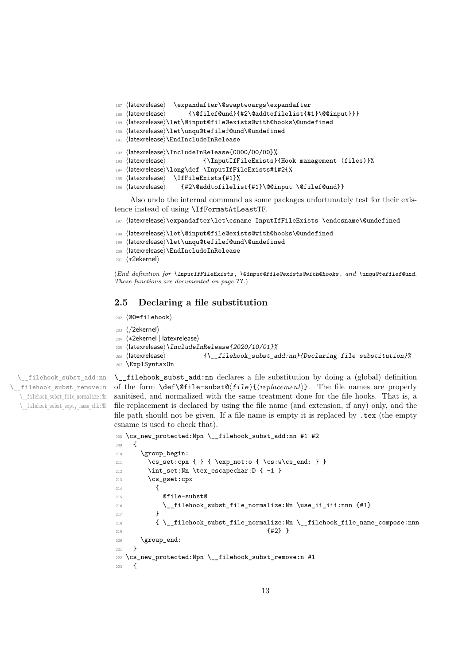```
187 ⟨latexrelease⟩ \expandafter\@swaptwoargs\expandafter
```

```
188 ⟨latexrelease⟩ {\@filef@und}{#2\@addtofilelist{#1}\@@input}}}
```
- <span id="page-12-22"></span><sup>189</sup> ⟨latexrelease⟩\let\@input@file@exists@with@hooks\@undefined
- <span id="page-12-23"></span><sup>190</sup> ⟨latexrelease⟩\let\unqu@tefilef@und\@undefined
- <span id="page-12-7"></span><sup>191</sup> ⟨latexrelease⟩\EndIncludeInRelease
- <span id="page-12-19"></span><sup>192</sup> ⟨latexrelease⟩\IncludeInRelease{0000/00/00}%
- <sup>193</sup> ⟨latexrelease⟩ {\InputIfFileExists}{Hook management (files)}%
- <span id="page-12-6"></span><sup>194</sup> ⟨latexrelease⟩\long\def \InputIfFileExists#1#2{%
- <span id="page-12-18"></span><sup>195</sup> ⟨latexrelease⟩ \IfFileExists{#1}%
- <span id="page-12-27"></span><sup>196</sup> ⟨latexrelease⟩ {#2\@addtofilelist{#1}\@@input \@filef@und}}

Also undo the internal command as some packages unfortunately test for their existence instead of using \IfFormatAtLeastTF.

<span id="page-12-5"></span><sup>197</sup> ⟨latexrelease⟩\expandafter\let\csname InputIfFileExists \endcsname\@undefined

- <span id="page-12-24"></span><sup>198</sup> ⟨latexrelease⟩\let\@input@file@exists@with@hooks\@undefined
- <span id="page-12-25"></span><sup>199</sup> ⟨latexrelease⟩\let\unqu@tefilef@und\@undefined
- <span id="page-12-8"></span><sup>200</sup> ⟨latexrelease⟩\EndIncludeInRelease
- <sup>201</sup> ⟨∗2ekernel⟩

(*End definition for* \InputIfFileExists *,* \@input@file@exists@with@hooks *, and* \unqu@tefilef@und*. These functions are documented on page* **??***.*)

#### <span id="page-12-0"></span>**2.5 Declaring a file substitution**

- <sup>202</sup> ⟨@@=filehook⟩
- <sup>203</sup> ⟨*/*2ekernel⟩
- <sup>204</sup> ⟨∗2ekernel | latexrelease⟩
- <span id="page-12-20"></span><sup>205</sup> ⟨latexrelease⟩\IncludeInRelease{2020/10/01}%
- <span id="page-12-13"></span><sup>206</sup> ⟨latexrelease⟩ {\\_\_filehook\_subst\_add:nn}{Declaring file substitution}%
- <span id="page-12-10"></span><sup>207</sup> \ExplSyntaxOn

\\_\_filehook\_subst\_add:nn \\_\_filehook\_subst\_remove:n \\_\_filehook\_subst\_file\_normalize:Nn \\_\_filehook\_subst\_empty\_name\_chk:NN <span id="page-12-14"></span>\\_\_filehook\_subst\_add:nn declares a file substitution by doing a (global) definition of the form \def\@file-subst@⟨file⟩{⟨*replacement*⟩}. The file names are properly sanitised, and normalized with the same treatment done for the file hooks. That is, a file replacement is declared by using the file name (and extension, if any) only, and the file path should not be given. If a file name is empty it is replaced by .tex (the empty csname is used to check that).

```
208 \cs_new_protected:Npn \__filehook_subst_add:nn #1 #2
209 - 5210 \group_begin:
211 \cs_set:cpx { } { \exp_not:o { \cs:w\cs_end: } }
\verb|212| \int_set:Nn \text{ex\_escapechar:} D { -1 }213 \cs_gset:cpx
214 \sim \sim215 @file-subst@
216 \L_1filehook_subst_file_normalize:Nn \use_ii_iii:nnn {#1}
217 }
218 { \__filehook_subst_file_normalize:Nn \__filehook_file_name_compose:nnn
219 \{12\} }
220 \group_end:
221 }
222 \cs_new_protected:Npn \__filehook_subst_remove:n #1
223 {
```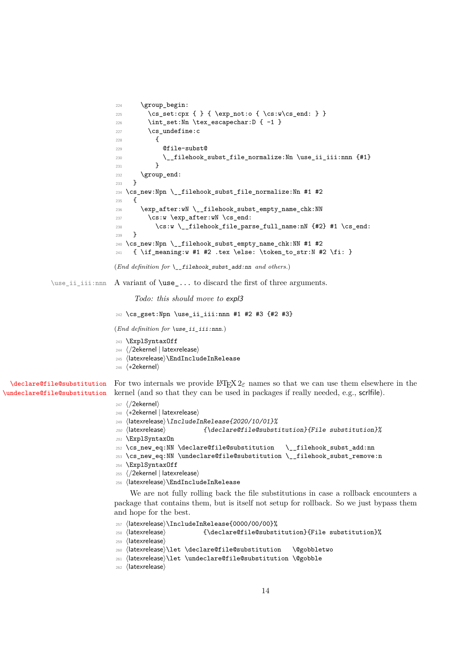```
224 \group_begin:
                  225 \cs_set:cpx { } { \exp_not:o { \cs:w\cs_end: } }
                  226 \int_2 \int_3 \text{lex} escapechar: D { -1 }
                  227 \quad \csc undefine: c
                  228 \sim \sim229 @file-subst@
                  230 \_filehook_subst_file_normalize:Nn \use_ii_iii:nnn {#1}
                  231 }
                  232 \group_end:
                  233 }
                  234 \cs_new:Npn \__filehook_subst_file_normalize:Nn #1 #2
                  235 \epsilon236 \exp_after:wN \__filehook_subst_empty_name_chk:NN
                  237 \cs:w \exp_after:wN \cs_end:
                  \cos: w \setminus _{1} 1 (cs:w \setminus _{1} 1 ) and \setminus file_parse_full_name:nN {#2} #1 \setminus cs_end:
                  239 }
                  240 \cs_new:Npn \__filehook_subst_empty_name_chk:NN #1 #2
                  241 { \if_meaning:w #1 #2 .tex \else: \token_to_str:N #2 \fi: }
                  (End definition for \__filehook_subst_add:nn and others.)
\use_ii_iii:nnn A variant of \use_... to discard the first of three arguments.
                       Todo: this should move to expl3
                  242 \cs_gset:Npn \use_ii_iii:nnn #1 #2 #3 {#2 #3}
```

```
(End definition for \use_ii_iii:nnn.)
```

```
243 \ExplSyntaxOff
```

```
244 ⟨/2ekernel | latexrelease⟩
```

```
245 ⟨latexrelease⟩\EndIncludeInRelease
```
<span id="page-13-24"></span><sup>246</sup> ⟨∗2ekernel⟩

```
\declare@file@substitution
\undeclare@file@substitution
                                   For two internals we provide \mathbb{F} \text{Tr} X 2_{\varepsilon} names so that we can use them elsewhere in the
                                   kernel (and so that they can be used in packages if really needed, e.g., scrlfile).
```
#### <sup>247</sup> ⟨*/*2ekernel⟩

- <sup>248</sup> ⟨∗2ekernel | latexrelease⟩
- <span id="page-13-19"></span><sup>249</sup> ⟨latexrelease⟩\IncludeInRelease{2020/10/01}%
- 250  $\langle$  /atexrelease $\rangle$  {\declare@file@substitution}{File substitution}%
- <span id="page-13-15"></span><sup>251</sup> \ExplSyntaxOn
- <span id="page-13-6"></span><sup>252</sup> \cs\_new\_eq:NN \declare@file@substitution \\_\_filehook\_subst\_add:nn
- <span id="page-13-7"></span><sup>253</sup> \cs\_new\_eq:NN \undeclare@file@substitution \\_\_filehook\_subst\_remove:n
- <span id="page-13-14"></span><sup>254</sup> \ExplSyntaxOff
- <sup>255</sup> ⟨*/*2ekernel | latexrelease⟩
- <span id="page-13-11"></span><sup>256</sup> ⟨latexrelease⟩\EndIncludeInRelease

We are not fully rolling back the file substitutions in case a rollback encounters a package that contains them, but is itself not setup for rollback. So we just bypass them and hope for the best.

```
257 ⟨latexrelease⟩\IncludeInRelease{0000/00/00}%
```

```
258 ⟨latexrelease⟩ {\declare@file@substitution}{File substitution}%
```

```
259 ⟨latexrelease⟩
```

```
260 ⟨latexrelease⟩\let \declare@file@substitution \@gobbletwo
```

```
261 ⟨latexrelease⟩\let \undeclare@file@substitution \@gobble
```

```
262 ⟨latexrelease⟩
```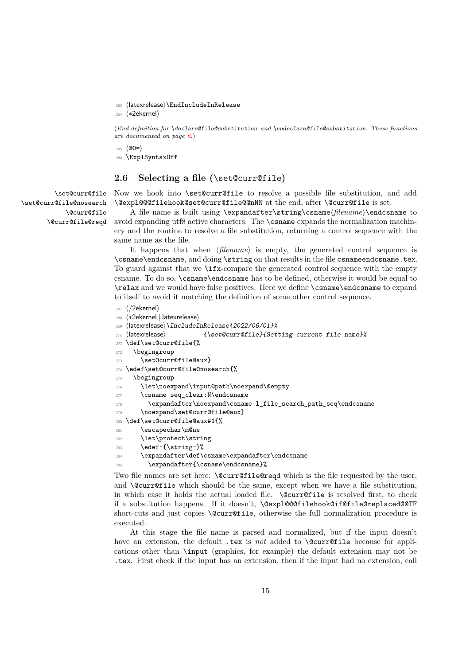<span id="page-14-12"></span><span id="page-14-3"></span><sup>263</sup> ⟨latexrelease⟩\EndIncludeInRelease

<sup>264</sup> ⟨∗2ekernel⟩

(*End definition for* \declare@file@substitution *and* \undeclare@file@substitution*. These functions are documented on page [6.](#page-5-2)*)

<span id="page-14-14"></span> $265 \langle \text{QQ} = \rangle$ <sup>266</sup> \ExplSyntaxOff

#### <span id="page-14-0"></span>**2.6 Selecting a file (**\set@curr@file**)**

\set@curr@file \set@curr@file@nosearch \@curr@file \@curr@file@reqd <span id="page-14-19"></span>Now we hook into \set@curr@file to resolve a possible file substitution, and add \@expl@@@filehook@set@curr@file@@nNN at the end, after \@curr@file is set.

A file name is built using \expandafter\string\csname⟨*filename*⟩\endcsname to avoid expanding utf8 active characters. The \csname expands the normalization machinery and the routine to resolve a file substitution, returning a control sequence with the same name as the file.

It happens that when ⟨*filename*⟩ is empty, the generated control sequence is \csname\endcsname, and doing \string on that results in the file csnameendcsname.tex. To guard against that we \ifx-compare the generated control sequence with the empty csname. To do so, \csname\endcsname has to be defined, otherwise it would be equal to \relax and we would have false positives. Here we define \csname\endcsname to expand to itself to avoid it matching the definition of some other control sequence.

```
267 ⟨/2ekernel⟩
```

```
268 ⟨∗2ekernel | latexrelease⟩
269 ⟨latexrelease⟩\IncludeInRelease{2022/06/01}%
270 ⟨latexrelease⟩ {\set@curr@file}{Setting current file name}%
271 \def\set@curr@file{%
272 \begingroup
273 \set@curr@file@aux}
274 \edef\set@curr@file@nosearch{%
275 \begingroup
276 \let\noexpand\input@path\noexpand\@empty
277 \csname seq_clear:N\endcsname
278 \expandafter\noexpand\csname l_file_search_path_seq\endcsname
279 \noexpand\set@curr@file@aux}
280 \def\set@curr@file@aux#1{%
281 \escapechar\m@ne
282 \let\protect\string
283 \edef~{\string~}%
284 \expandafter\def\csname\expandafter\endcsname
285 \expandafter{\csname\endcsname}%
```
<span id="page-14-18"></span><span id="page-14-17"></span><span id="page-14-13"></span><span id="page-14-11"></span><span id="page-14-9"></span><span id="page-14-7"></span><span id="page-14-6"></span><span id="page-14-5"></span>Two file names are set here: **\@curr@file@reqd** which is the file requested by the user, and  $\@current{a}$  which should be the same, except when we have a file substitution, in which case it holds the actual loaded file. \@curr@file is resolved first, to check if a substitution happens. If it doesn't, \@expl@@@filehook@if@file@replaced@@TF short-cuts and just copies \@curr@file, otherwise the full normalization procedure is executed.

At this stage the file name is parsed and normalized, but if the input doesn't have an extension, the default .tex is *not* added to **\@curr@file** because for applications other than \input (graphics, for example) the default extension may not be .tex. First check if the input has an extension, then if the input had no extension, call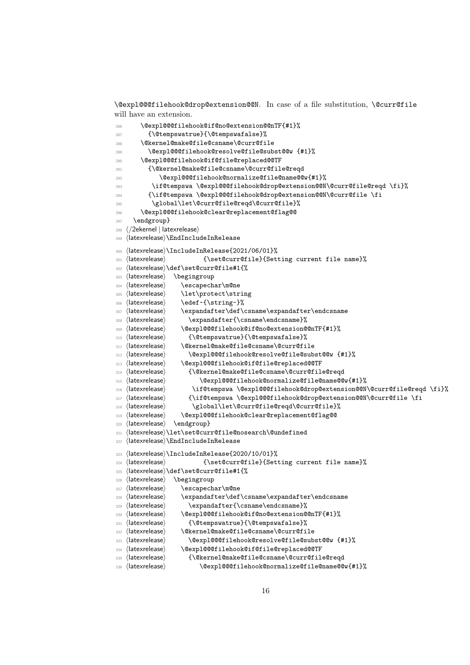<span id="page-15-27"></span>\@expl@@@filehook@drop@extension@@N. In case of a file substitution, \@curr@file will have an extension.

```
286 \@expl@@@filehook@if@no@extension@@nTF{#1}%
287 {\@tempswatrue}{\@tempswafalse}%
288 \@kernel@make@file@csname\@curr@file
289 \@expl@@@filehook@resolve@file@subst@@w {#1}%
290 \@expl@@@filehook@if@file@replaced@@TF
291 {\@kernel@make@file@csname\@curr@file@reqd
292 \@expl@@@filehook@normalize@file@name@@w{#1}%
293 \if@tempswa \@expl@@@filehook@drop@extension@@N\@curr@file@reqd \fi}%
294 {\if@tempswa \@expl@@@filehook@drop@extension@@N\@curr@file \fi
          \global\let\@curr@file@reqd\@curr@file}%
       296 \@expl@@@filehook@clear@replacement@flag@@
297 \endgroup}
298 ⟨/2ekernel | latexrelease⟩
299 ⟨latexrelease⟩\EndIncludeInRelease
300 ⟨latexrelease⟩\IncludeInRelease{2021/06/01}%
301 ⟨latexrelease⟩ {\set@curr@file}{Setting current file name}%
302 ⟨latexrelease⟩\def\set@curr@file#1{%
303 ⟨latexrelease⟩ \begingroup
304 ⟨latexrelease⟩ \escapechar\m@ne
305 ⟨latexrelease⟩ \let\protect\string
306 〈latexrelease〉 \edef~{\string~}%
307 ⟨latexrelease⟩ \expandafter\def\csname\expandafter\endcsname
308 ⟨latexrelease⟩ \expandafter{\csname\endcsname}%
309 ⟨latexrelease⟩ \@expl@@@filehook@if@no@extension@@nTF{#1}%
310 ⟨latexrelease⟩ {\@tempswatrue}{\@tempswafalse}%
311 ⟨latexrelease⟩ \@kernel@make@file@csname\@curr@file
312 ⟨latexrelease⟩ \@expl@@@filehook@resolve@file@subst@@w {#1}%
313 ⟨latexrelease⟩ \@expl@@@filehook@if@file@replaced@@TF
314 ⟨latexrelease⟩ {\@kernel@make@file@csname\@curr@file@reqd
315 ⟨latexrelease⟩ \@expl@@@filehook@normalize@file@name@@w{#1}%
316 ⟨latexrelease⟩ \if@tempswa \@expl@@@filehook@drop@extension@@N\@curr@file@reqd \fi}%
317 ⟨latexrelease⟩ {\if@tempswa \@expl@@@filehook@drop@extension@@N\@curr@file \fi
318 \langlelatexrelease\rangle \global\let\@curr@file@reqd\@curr@file}%
319 ⟨latexrelease⟩ \@expl@@@filehook@clear@replacement@flag@@
320 ⟨latexrelease⟩ \endgroup}
321 ⟨latexrelease⟩\let\set@curr@file@nosearch\@undefined
322 ⟨latexrelease⟩\EndIncludeInRelease
323 ⟨latexrelease⟩\IncludeInRelease{2020/10/01}%
324 ⟨latexrelease⟩ {\set@curr@file}{Setting current file name}%
325 ⟨latexrelease⟩\def\set@curr@file#1{%
326 ⟨latexrelease⟩ \begingroup
327 ⟨latexrelease⟩ \escapechar\m@ne
328 ⟨latexrelease⟩ \expandafter\def\csname\expandafter\endcsname
329 \langlelatexrelease\rangle \expandafter{\csname\endcsname}%
330 \langlelatexrelease\rangle \@expl@@filehook@if@no@extension@@nTF{#1}%
331 ⟨latexrelease⟩ {\@tempswatrue}{\@tempswafalse}%
332 ⟨latexrelease⟩ \@kernel@make@file@csname\@curr@file
333 ⟨latexrelease⟩ \@expl@@@filehook@resolve@file@subst@@w {#1}%
334 ⟨latexrelease⟩ \@expl@@@filehook@if@file@replaced@@TF
335 ⟨latexrelease⟩ {\@kernel@make@file@csname\@curr@file@reqd
336 ⟨latexrelease⟩ \@expl@@@filehook@normalize@file@name@@w{#1}%
```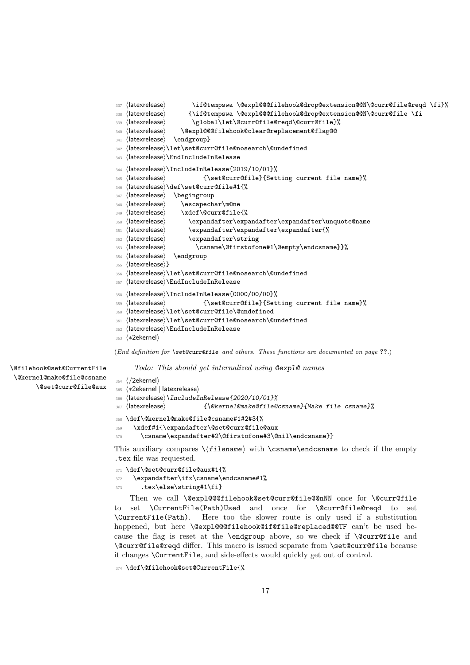```
337 ⟨latexrelease⟩ \if@tempswa \@expl@@@filehook@drop@extension@@N\@curr@file@reqd \fi}%
338 ⟨latexrelease⟩ {\if@tempswa \@expl@@@filehook@drop@extension@@N\@curr@file \fi
339 ⟨latexrelease⟩ \global\let\@curr@file@reqd\@curr@file}%
340 ⟨latexrelease⟩ \@expl@@@filehook@clear@replacement@flag@@
341 ⟨latexrelease⟩ \endgroup}
342 ⟨latexrelease⟩\let\set@curr@file@nosearch\@undefined
343 ⟨latexrelease⟩\EndIncludeInRelease
344 ⟨latexrelease⟩\IncludeInRelease{2019/10/01}%
345 ⟨latexrelease⟩ {\set@curr@file}{Setting current file name}%
346 ⟨latexrelease⟩\def\set@curr@file#1{%
347 ⟨latexrelease⟩ \begingroup
348 ⟨latexrelease⟩ \escapechar\m@ne
349 ⟨latexrelease⟩ \xdef\@curr@file{%
350 ⟨latexrelease⟩ \expandafter\expandafter\expandafter\unquote@name
351 ⟨latexrelease⟩ \expandafter\expandafter\expandafter{%
352 ⟨latexrelease⟩ \expandafter\string
353 ⟨latexrelease⟩ \csname\@firstofone#1\@empty\endcsname}}%
354 ⟨latexrelease⟩ \endgroup
355 ⟨latexrelease⟩}
356 ⟨latexrelease⟩\let\set@curr@file@nosearch\@undefined
357 ⟨latexrelease⟩\EndIncludeInRelease
358 ⟨latexrelease⟩\IncludeInRelease{0000/00/00}%
359 ⟨latexrelease⟩ {\set@curr@file}{Setting current file name}%
360 ⟨latexrelease⟩\let\set@curr@file\@undefined
361 ⟨latexrelease⟩\let\set@curr@file@nosearch\@undefined
362 ⟨latexrelease⟩\EndIncludeInRelease
363 ⟨∗2ekernel⟩
```
<span id="page-16-31"></span><span id="page-16-29"></span><span id="page-16-28"></span><span id="page-16-27"></span><span id="page-16-24"></span><span id="page-16-18"></span><span id="page-16-17"></span><span id="page-16-14"></span><span id="page-16-13"></span><span id="page-16-11"></span><span id="page-16-2"></span>(*End definition for* \set@curr@file *and others. These functions are documented on page* **??***.*)

*Todo: This should get internalized using* @expl@ *names*

\@filehook@set@CurrentFile \@kernel@make@file@csname \@set@curr@file@aux

```
364 ⟨/2ekernel⟩
365 ⟨∗2ekernel | latexrelease⟩
366 ⟨latexrelease⟩\IncludeInRelease{2020/10/01}%
367 ⟨latexrelease⟩ {\@kernel@make@file@csname}{Make file csname}%
368 \def\@kernel@make@file@csname#1#2#3{%
369 \xdef#1{\expandafter\@set@curr@file@aux
370 \csname\expandafter#2\@firstofone#3\@nil\endcsname}}
```
<span id="page-16-19"></span><span id="page-16-6"></span><span id="page-16-3"></span>This auxiliary compares  $\langle$ filename $\rangle$  with  $\langle$ csname $\rangle$ endcsname to check if the empty .tex file was requested.

```
371 \def\@set@curr@file@aux#1{%
372 \expandafter\ifx\csname\endcsname#1%
373 .tex\else\string#1\fi}
```
<span id="page-16-9"></span>Then we call \@expl@@@filehook@set@curr@file@@nNN once for \@curr@file to set \CurrentFile(Path)Used and once for \@curr@file@reqd to set \CurrentFile(Path). Here too the slower route is only used if a substitution happened, but here \@expl@@@filehook@if@file@replaced@@TF can't be used because the flag is reset at the \endgroup above, so we check if \@curr@file and \@curr@file@reqd differ. This macro is issued separate from \set@curr@file because it changes \CurrentFile, and side-effects would quickly get out of control.

```
374 \def\@filehook@set@CurrentFile{%
```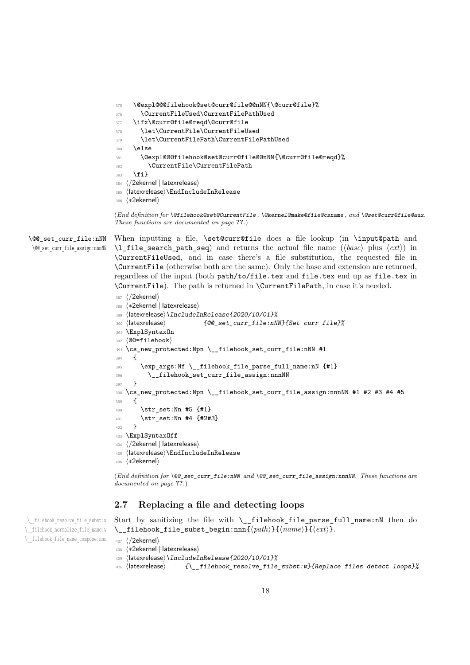```
375 \@expl@@@filehook@set@curr@file@@nNN{\@curr@file}%
376 \CurrentFileUsed\CurrentFilePathUsed
377 \ifx\@curr@file@reqd\@curr@file
378 \let\CurrentFile\CurrentFileUsed
379 \let\CurrentFilePath\CurrentFilePathUsed
380 \else
381 \@expl@@@filehook@set@curr@file@@nNN{\@curr@file@reqd}%
382 \CurrentFile\CurrentFilePath
383 \fi}
384 ⟨/2ekernel | latexrelease⟩
385 ⟨latexrelease⟩\EndIncludeInRelease
386 ⟨∗2ekernel⟩
```
<span id="page-17-15"></span><span id="page-17-10"></span><span id="page-17-6"></span><span id="page-17-1"></span>(*End definition for* \@filehook@set@CurrentFile *,* \@kernel@make@file@csname *, and* \@set@curr@file@aux*. These functions are documented on page* **??***.*)

\@@\_set\_curr\_file:nNN \@@\_set\_curr\_file\_assign:nnnNN When inputting a file, \set@curr@file does a file lookup (in \input@path and \l\_file\_search\_path\_seq) and returns the actual file name (⟨*base*⟩ plus ⟨*ext*⟩) in \CurrentFileUsed, and in case there's a file substitution, the requested file in \CurrentFile (otherwise both are the same). Only the base and extension are returned, regardless of the input (both path/to/file.tex and file.tex end up as file.tex in \CurrentFile). The path is returned in \CurrentFilePath, in case it's needed.

```
387 ⟨/2ekernel⟩
388 ⟨∗2ekernel | latexrelease⟩
389 ⟨latexrelease⟩\IncludeInRelease{2020/10/01}%
390 ⟨latexrelease⟩ {@@_set_curr_file:nNN}{Set curr file}%
391 \ExplSyntaxOn
392 ⟨@@=filehook⟩
393 \cs_new_protected:Npn \__filehook_set_curr_file:nNN #1
394 {
395 \exp_args:Nf \__filehook_file_parse_full_name:nN {#1}
396 \__filehook_set_curr_file_assign:nnnNN
397 }
398 \cs_new_protected:Npn \__filehook_set_curr_file_assign:nnnNN #1 #2 #3 #4 #5
399 {
400 \str_set:Nn #5 {#1}
401 \str_set:Nn #4 {#2#3}
402 }
403 \ExplSyntaxOff
404 ⟨/2ekernel | latexrelease⟩
405 ⟨latexrelease⟩\EndIncludeInRelease
406 ⟨∗2ekernel⟩
```
<span id="page-17-23"></span><span id="page-17-22"></span><span id="page-17-13"></span><span id="page-17-11"></span><span id="page-17-3"></span>(*End definition for* \@@\_set\_curr\_file:nNN *and* \@@\_set\_curr\_file\_assign:nnnNN*. These functions are documented on page* **??***.*)

### <span id="page-17-0"></span>**2.7 Replacing a file and detecting loops**

<span id="page-17-16"></span>Start by sanitizing the file with \\_\_filehook\_file\_parse\_full\_name:nN then do \\_\_filehook\_file\_subst\_begin:nnn{⟨*path*⟩}{⟨*name*⟩}{⟨*ext*⟩}.

\\_\_filehook\_resolve\_file\_subst:w \\_\_filehook\_normalize\_file\_name:w \\_\_filehook\_file\_name\_compose:nnn

- ⟨*/*2ekernel⟩ ⟨∗2ekernel | latexrelease⟩
- <span id="page-17-21"></span>⟨latexrelease⟩\IncludeInRelease{2020/10/01}%
- <span id="page-17-17"></span>410 (latexrelease)  $\{ \$  filehook resolve file subst:w}{Replace files detect loops}%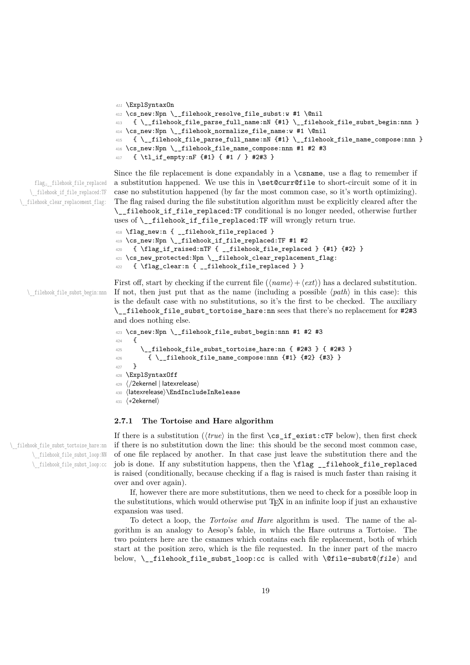```
411 \ExplSyntaxOn
412 \cs_new:Npn \__filehook_resolve_file_subst:w #1 \@nil
413 \quad {\ \} filehook file parse full name:nN {#1} \ \ filehook file subst_begin:nnn }
414 \cs_new:Npn \__filehook_normalize_file_name:w #1 \@nil
415 { \__filehook_file_parse_full_name:nN {#1} \__filehook_file_name_compose:nnn }
416 \cs_new:Npn \__filehook_file_name_compose:nnn #1 #2 #3
417 { \tl_if_empty:nF {#1} { #1 / } #2#3 }
```
flag␣\_\_filehook\_file\_replaced \\_\_filehook\_if\_file\_replaced:TF \\_\_filehook\_clear\_replacement\_flag:

```
Since the file replacement is done expandably in a \csname, use a flag to remember if
a substitution happened. We use this in \set@curr@file to short-circuit some of it in
case no substitution happened (by far the most common case, so it's worth optimizing).
The flag raised during the file substitution algorithm must be explicitly cleared after the
\__filehook_if_file_replaced:TF conditional is no longer needed, otherwise further
uses of \_filehook_if_file_replaced:TF will wrongly return true.
```

```
418 \flag_new:n { __filehook_file_replaced }
419 \cs_new:Npn \__filehook_if_file_replaced:TF #1 #2
420 { \flag_if_raised:nTF { __filehook_file_replaced } {#1} {#2} }
421 \cs_new_protected:Npn \__filehook_clear_replacement_flag:
\verb|422661| { \label{thm:14} \verb|42261| { \verb|422} \verb|{ \verb|422} \verb|{ \verb|422} \verb|{ \verb|422} \verb|{ \verb|422} \verb|{ \verb|422} \verb|{ \verb|422} \verb|{ \verb|422} \verb|{ \verb|422} \verb|{ \verb|422} \verb|{ \verb|422} \verb|{ \verb|422} \verb|{ \verb|422} \verb|{ \verb|422} \verb|{ \verb|422} \verb|{ \verb|422} \verb|{ \verb|422} \verb|{ \verb|
```
\\_\_filehook\_file\_subst\_begin:nnn

<span id="page-18-15"></span><span id="page-18-7"></span>First off, start by checking if the current file  $(\langle name \rangle + \langle ext \rangle)$  has a declared substitution. If not, then just put that as the name (including a possible  $\langle path \rangle$  in this case): this is the default case with no substitutions, so it's the first to be checked. The auxiliary \\_\_filehook\_file\_subst\_tortoise\_hare:nn sees that there's no replacement for #2#3 and does nothing else.

```
423 \cs_new:Npn \__filehook_file_subst_begin:nnn #1 #2 #3
424 {
425 \__filehook_file_subst_tortoise_hare:nn { #2#3 } { #2#3 }
426 { \__filehook_file_name_compose:nnn {#1} {#2} {#3} }
427 }
428 \ExplSyntaxOff
429 ⟨/2ekernel | latexrelease⟩
430 ⟨latexrelease⟩\EndIncludeInRelease
431 ⟨∗2ekernel⟩
```
#### <span id="page-18-16"></span><span id="page-18-8"></span><span id="page-18-0"></span>**2.7.1 The Tortoise and Hare algorithm**

If there is a substitution (⟨*true*⟩ in the first \cs\_if\_exist:cTF below), then first check if there is no substitution down the line: this should be the second most common case, of one file replaced by another. In that case just leave the substitution there and the job is done. If any substitution happens, then the \flag \_\_filehook\_file\_replaced is raised (conditionally, because checking if a flag is raised is much faster than raising it over and over again).

If, however there are more substitutions, then we need to check for a possible loop in the substitutions, which would otherwise put TEX in an infinite loop if just an exhaustive expansion was used.

To detect a loop, the *Tortoise and Hare* algorithm is used. The name of the algorithm is an analogy to Aesop's fable, in which the Hare outruns a Tortoise. The two pointers here are the csnames which contains each file replacement, both of which start at the position zero, which is the file requested. In the inner part of the macro below, \\_filehook\_file\_subst\_loop:cc is called with \@file-subst@ $\langle$ file  $\rangle$  and

\\_\_filehook\_file\_subst\_tortoise\_hare:nn \\_\_filehook\_file\_subst\_loop:NN \\_\_filehook\_file\_subst\_loop:cc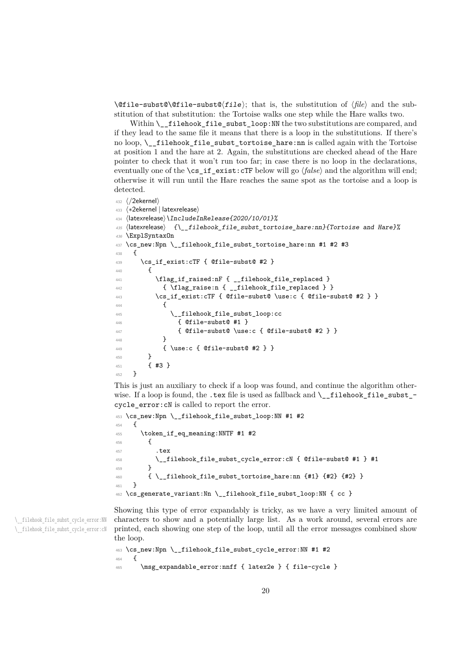<span id="page-19-1"></span>\@file-subst@\@file-subst@⟨file⟩; that is, the substitution of ⟨*file*⟩ and the substitution of that substitution: the Tortoise walks one step while the Hare walks two.

Within \\_filehook\_file\_subst\_loop:NN the two substitutions are compared, and if they lead to the same file it means that there is a loop in the substitutions. If there's no loop, \\_\_filehook\_file\_subst\_tortoise\_hare:nn is called again with the Tortoise at position 1 and the hare at 2. Again, the substitutions are checked ahead of the Hare pointer to check that it won't run too far; in case there is no loop in the declarations, eventually one of the \cs\_if\_exist:cTF below will go  $\langle false \rangle$  and the algorithm will end; otherwise it will run until the Hare reaches the same spot as the tortoise and a loop is detected.

```
432 ⟨/2ekernel⟩
433 ⟨∗2ekernel | latexrelease⟩
434 ⟨latexrelease⟩\IncludeInRelease{2020/10/01}%
435 ⟨latexrelease⟩ {\__filehook_file_subst_tortoise_hare:nn}{Tortoise and Hare}%
436 \ExplSyntaxOn
437 \cs_new:Npn \__filehook_file_subst_tortoise_hare:nn #1 #2 #3
438 {
439 \cs_if_exist:cTF { @file-subst@ #2 }
440 {
\verb|\flag_if_raised:nF { __filehook_file_replaced }|442 { \flag_raise:n { __filehook_file_replaced } }
443 \cs_if_exist:cTF { @file-subst@ \use:c { @file-subst@ #2 } }
444 \left\{ \begin{array}{ccc} 4 & 4 & 4 \end{array} \right\}445 \__filehook_file_subst_loop:cc
446 { @file-subst@ #1 }
447 { @file-subst@ \use:c { @file-subst@ #2 } }
```

```
448 }
449 { \use:c { @file-subst@ #2 } }
450 }
451 { #3 }
452 }
```
This is just an auxiliary to check if a loop was found, and continue the algorithm otherwise. If a loop is found, the .tex file is used as fallback and  $\setminus$  filehook file subst cycle\_error:cN is called to report the error.

```
453 \cs_new:Npn \__filehook_file_subst_loop:NN #1 #2
454 {
455 \token_if_eq_meaning:NNTF #1 #2
456 \qquad \qquad \qquad \qquad457 \overline{t} \overline{t} \overline{t} \overline{t} \overline{t} \overline{t} \overline{t} \overline{t} \overline{t} \overline{t} \overline{t} \overline{t} \overline{t} \overline{t} \overline{t} \overline{t} \overline{t} \overline{t} \overline{t} \overline{t} \overline{t} \overline{t} \overline{t} \overline{t}458 \__filehook_file_subst_cycle_error:cN { @file-subst@ #1 } #1
459 }
460 { \_filehook_file_subst_tortoise_hare:nn {#1} {#2} {#2} }
461 }
462 \cs_generate_variant:Nn \__filehook_file_subst_loop:NN { cc }
```
<span id="page-19-11"></span><span id="page-19-0"></span>Showing this type of error expandably is tricky, as we have a very limited amount of characters to show and a potentially large list. As a work around, several errors are printed, each showing one step of the loop, until all the error messages combined show the loop.

```
463 \text{ } \cs_new:Npn \__filehook_file_subst_cycle_error:NN #1 #2
464 {
465 \msg_expandable_error:nnff { latex2e } { file-cycle }
```
\\_\_filehook\_file\_subst\_cycle\_error:NN \\_\_filehook\_file\_subst\_cycle\_error:cN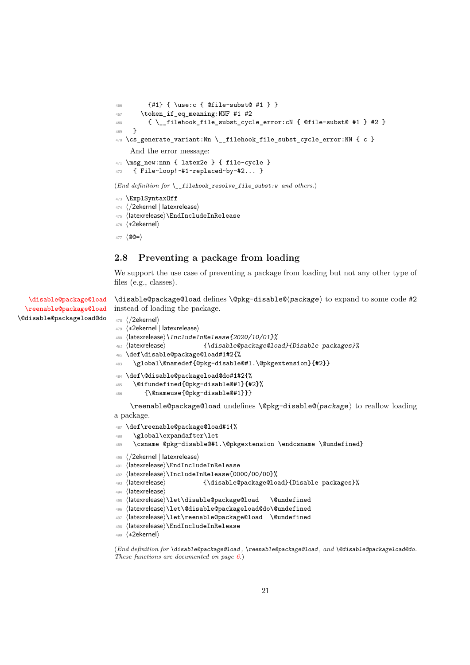```
466 {#1} { \use:c { @file-subst@ #1 } }
467 \token_if_eq_meaning:NNF #1 #2
468 { \__filehook_file_subst_cycle_error:cN { @file-subst@ #1 } #2 }
469 }
470 \cs_generate_variant:Nn \__filehook_file_subst_cycle_error:NN { c }
    And the error message:
471 \msg new:nnn { latex2e } { file-cycle }
472 { File~loop!~#1~replaced~by~#2... }
(End definition for \__filehook_resolve_file_subst:w and others.)
```

```
473 \ExplSyntaxOff
474 ⟨/2ekernel | latexrelease⟩
475 ⟨latexrelease⟩\EndIncludeInRelease
476 ⟨∗2ekernel⟩
477 ⟨@@=⟩
```
#### <span id="page-20-0"></span>**2.8 Preventing a package from loading**

We support the use case of preventing a package from loading but not any other type of files (e.g., classes).

[\disable@package@load](#page-5-3) [\reenable@package@load](#page-5-3) \disable@package@load defines \@pkg-disable@⟨package⟩ to expand to some code #2 instead of loading the package.

```
478 ⟨/2ekernel⟩
```
\@disable@packageload@do

```
479 ⟨∗2ekernel | latexrelease⟩
```
- <span id="page-20-13"></span>⟨latexrelease⟩\IncludeInRelease{2020/10/01}%
- ⟨latexrelease⟩ {\disable@package@load}{Disable packages}%
- <span id="page-20-3"></span>\def\disable@package@load#1#2{%

```
483 \global\@namedef{@pkg-disable@#1.\@pkgextension}{#2}}
```

```
484 \def\@disable@packageload@do#1#2{%
```

```
485 \@ifundefined{@pkg-disable@#1}{#2}%
```

```
486 {\@nameuse{@pkg-disable@#1}}}
```
\reenable@package@load undefines \@pkg-disable@⟨package⟩ to reallow loading a package.

```
487 \def\reenable@package@load#1{%
```

```
488 \global\expandafter\let
```
<span id="page-20-2"></span>\csname @pkg-disable@#1.\@pkgextension \endcsname \@undefined}

```
490 ⟨/2ekernel | latexrelease⟩
```

```
491 ⟨latexrelease⟩\EndIncludeInRelease
```
- <span id="page-20-14"></span>⟨latexrelease⟩\IncludeInRelease{0000/00/00}%
- ⟨latexrelease⟩ {\disable@package@load}{Disable packages}%
- ⟨latexrelease⟩
- <span id="page-20-15"></span>⟨latexrelease⟩\let\disable@package@load \@undefined
- <span id="page-20-16"></span>⟨latexrelease⟩\let\@disable@packageload@do\@undefined
- <span id="page-20-17"></span>⟨latexrelease⟩\let\reenable@package@load \@undefined
- <span id="page-20-8"></span>⟨latexrelease⟩\EndIncludeInRelease

```
499 ⟨∗2ekernel⟩
```
(*End definition for* \disable@package@load *,* \reenable@package@load *, and* \@disable@packageload@do*. These functions are documented on page [6.](#page-5-3)*)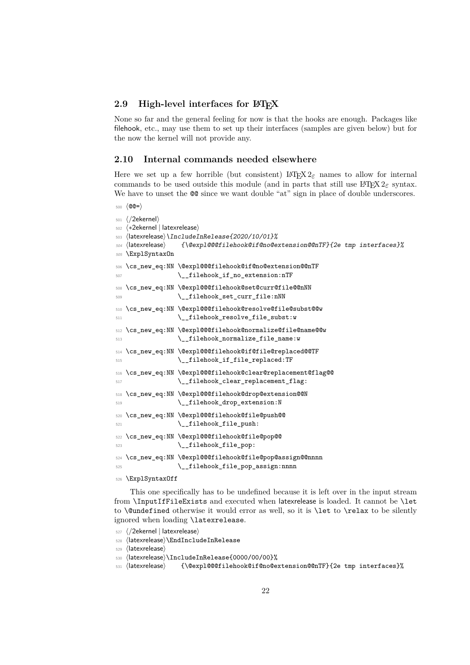#### <span id="page-21-27"></span><span id="page-21-0"></span>**2.9 High-level interfaces for LATEX**

None so far and the general feeling for now is that the hooks are enough. Packages like filehook, etc., may use them to set up their interfaces (samples are given below) but for the now the kernel will not provide any.

#### <span id="page-21-1"></span>**2.10 Internal commands needed elsewhere**

Here we set up a few horrible (but consistent)  $\text{L} \text{Tr} \text{X} 2 \epsilon$  names to allow for internal commands to be used outside this module (and in parts that still use  $\mathbb{P}\text{Tr}X2_{\varepsilon}$  syntax. We have to unset the  $@$  since we want double "at" sign in place of double underscores.

<sup>500</sup> ⟨@@=⟩

```
501 ⟨/2ekernel⟩
502 ⟨∗2ekernel | latexrelease⟩
503 ⟨latexrelease⟩\IncludeInRelease{2020/10/01}%
504 ⟨latexrelease⟩ {\@expl@@@filehook@if@no@extension@@nTF}{2e tmp interfaces}%
505 \ExplSyntaxOn
506 \cs_new_eq:NN \@expl@@@filehook@if@no@extension@@nTF
507 \ filehook if no extension:nTF
508 \cs_new_eq:NN \@expl@@@filehook@set@curr@file@@nNN
509 \__filehook_set_curr_file:nNN
510 \cs_new_eq:NN \@expl@@@filehook@resolve@file@subst@@w
511 \ filehook resolve file subst:w
512 \cs_new_eq:NN \@expl@@@filehook@normalize@file@name@@w
513 \__filehook_normalize_file_name:w
514 \cs_new_eq:NN \@expl@@@filehook@if@file@replaced@@TF
515 \__filehook_if_file_replaced:TF
516 \cs_new_eq:NN \@expl@@@filehook@clear@replacement@flag@@
517 \__filehook_clear_replacement_flag:
518 \cs_new_eq:NN \@expl@@@filehook@drop@extension@@N
519 \ filehook_drop_extension:N
520 \cs_new_eq:NN \@expl@@@filehook@file@push@@
521 \qquad \qquad \setminus \_ \text{filehook} \qquad \qquad \qquad \qquad \qquad \qquad \qquad \qquad \qquad \qquad \qquad \qquad \qquad \qquad \qquad \qquad \qquad \qquad \qquad \qquad \qquad \qquad \qquad \qquad \qquad \qquad \qquad \qquad \qquad \qquad \qquad \qquad \qquad \qquad \qquad \qquad 
522 \cs_new_eq:NN \@expl@@@filehook@file@pop@@
523 \__filehook_file_pop:
524 \cs_new_eq:NN \@expl@@@filehook@file@pop@assign@@nnnn
525 \__filehook_file_pop_assign:nnnn
526 \ExplSyntaxOff
```
<span id="page-21-20"></span><span id="page-21-19"></span><span id="page-21-18"></span><span id="page-21-17"></span><span id="page-21-16"></span><span id="page-21-15"></span><span id="page-21-13"></span><span id="page-21-11"></span><span id="page-21-10"></span><span id="page-21-9"></span><span id="page-21-8"></span><span id="page-21-7"></span>This one specifically has to be undefined because it is left over in the input stream from \InputIfFileExists and executed when latexrelease is loaded. It cannot be \let to **\@undefined** otherwise it would error as well, so it is **\let** to **\relax** to be silently ignored when loading \latexrelease.

- <sup>527</sup> ⟨*/*2ekernel | latexrelease⟩
- <span id="page-21-12"></span><sup>528</sup> ⟨latexrelease⟩\EndIncludeInRelease
- <sup>529</sup> ⟨latexrelease⟩
- <span id="page-21-26"></span><sup>530</sup> ⟨latexrelease⟩\IncludeInRelease{0000/00/00}%
- <span id="page-21-29"></span><sup>531</sup> ⟨latexrelease⟩ {\@expl@@@filehook@if@no@extension@@nTF}{2e tmp interfaces}%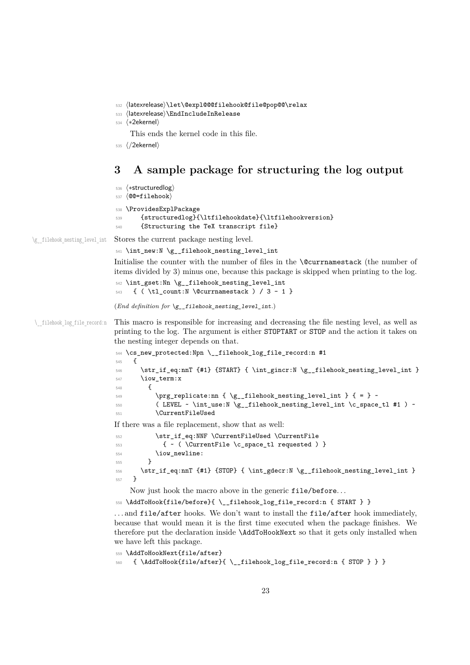```
532 ⟨latexrelease⟩\let\@expl@@@filehook@file@pop@@\relax
```

```
533 ⟨latexrelease⟩\EndIncludeInRelease
```

```
534 ⟨∗2ekernel⟩
```
This ends the kernel code in this file.

```
535 ⟨/2ekernel⟩
```
# <span id="page-22-23"></span><span id="page-22-22"></span><span id="page-22-21"></span><span id="page-22-17"></span><span id="page-22-16"></span><span id="page-22-11"></span><span id="page-22-10"></span><span id="page-22-0"></span>**3 A sample package for structuring the log output**

```
536 ⟨∗structuredlog⟩
                       537 ⟨@@=filehook⟩
                       538 \ProvidesExplPackage
                       539 {structuredlog}{\ltfilehookdate}{\ltfilehookversion}
                       540 {Structuring the TeX transcript file}
\g filehook nesting level int Stores the current package nesting level.
                       541 \int_new:N \g__filehook_nesting_level_int
                       Initialise the counter with the number of files in the \@currnamestack (the number of
                       items divided by 3) minus one, because this package is skipped when printing to the log.
                       542 \int_gset:Nn \g__filehook_nesting_level_int
                       543 \quad {\text{ ( } \tL1_count:N \text{ } \text{Currnamestack } } / 3 - 1 \text{ } }(End definition for \g__filehook_nesting_level_int.)
 \__filehook_log_file_record:n This macro is responsible for increasing and decreasing the file nesting level, as well as
                       printing to the log. The argument is either STOPTART or STOP and the action it takes on
                       the nesting integer depends on that.
                       544 \cs_new_protected:Npn \__filehook_log_file_record:n #1
                       545 {
                       546 \str_if_eq:nnT {#1} {START} { \int_gincr:N \g__filehook_nesting_level_int }
                       547 \iow_term:x
                       548 \sqrt{2}549 \prg_{replicate:nn {\g_{filebook\_nesting\_level\_int}} { = } ~550 ( LEVEL ~ \int_use:N \g__filehook_nesting_level_int \c_space_tl #1 ) ~
                       551 \CurrentFileUsed
                       If there was a file replacement, show that as well:
                       552 \str_if_eq:NNF \CurrentFileUsed \CurrentFile
                       553 { ~ ( \CurrentFile \c_space_tl requested ) }
                       554 \iow_newline:
                       555 }
                       556 \str_if_eq:nnT {#1} {STOP} { \int_gdecr:N \g__filehook_nesting_level_int }
                       557 }
```
<span id="page-22-19"></span><span id="page-22-18"></span><span id="page-22-15"></span><span id="page-22-14"></span><span id="page-22-13"></span><span id="page-22-12"></span><span id="page-22-8"></span><span id="page-22-7"></span><span id="page-22-6"></span><span id="page-22-5"></span>Now just hook the macro above in the generic file/before. . .

<span id="page-22-1"></span><sup>558</sup> \AddToHook{file/before}{ \\_\_filehook\_log\_file\_record:n { START } }

. . . and file/after hooks. We don't want to install the file/after hook immediately, because that would mean it is the first time executed when the package finishes. We therefore put the declaration inside \AddToHookNext so that it gets only installed when we have left this package.

```
559 \AddToHookNext{file/after}
```

```
560 { \AddToHook{file/after}{ \__filehook_log_file_record:n { STOP } } }
```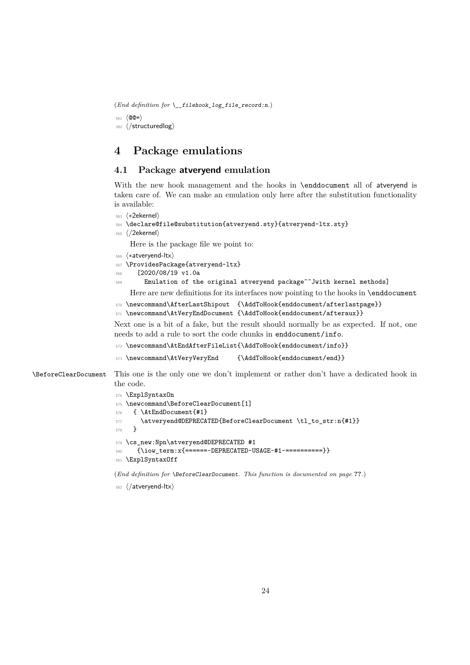<span id="page-23-9"></span>(*End definition for* \\_\_filehook\_log\_file\_record:n*.*)

<sup>561</sup> ⟨@@=⟩ <sup>562</sup> ⟨*/*structuredlog⟩

# <span id="page-23-0"></span>**4 Package emulations**

#### <span id="page-23-1"></span>**4.1 Package atveryend emulation**

With the new hook management and the hooks in \enddocument all of atveryend is taken care of. We can make an emulation only here after the substitution functionality is available:

```
563 ⟨∗2ekernel⟩
```

```
564 \declare@file@substitution{atveryend.sty}{atveryend-ltx.sty}
```
<sup>565</sup> ⟨*/*2ekernel⟩

Here is the package file we point to:

<sup>566</sup> ⟨∗atveryend-ltx⟩

```
567 \ProvidesPackage{atveryend-ltx}
```
- <sup>568</sup> [2020/08/19 v1.0a
- <sup>569</sup> Emulation of the original atveryend package^^Jwith kernel methods]

Here are new definitions for its interfaces now pointing to the hooks in \enddocument

```
570 \newcommand\AfterLastShipout {\AddToHook{enddocument/afterlastpage}}
```

```
_{571} \newcommand\AtVeryEndDocument {\AddToHook{enddocument/afteraux}}
```
Next one is a bit of a fake, but the result should normally be as expected. If not, one needs to add a rule to sort the code chunks in enddocument/info.

```
572 \newcommand\AtEndAfterFileList{\AddToHook{enddocument/info}}
```

```
573 \newcommand\AtVeryVeryEnd {\AddToHook{enddocument/end}}
```
\BeforeClearDocument This one is the only one we don't implement or rather don't have a dedicated hook in the code.

```
574 \ExplSyntaxOn
575 \newcommand\BeforeClearDocument[1]
576 { \AtEndDocument{#1}
577 \atveryend@DEPRECATED{BeforeClearDocument \tl_to_str:n{#1}}
578 }
579 \cs_new:Npn\atveryend@DEPRECATED #1
580 {\iow_term:x{======~DEPRECATED~USAGE~#1~==========}}
581 \ExplSyntaxOff
```
<span id="page-23-12"></span><span id="page-23-10"></span><span id="page-23-8"></span>(*End definition for* \BeforeClearDocument*. This function is documented on page* **??***.*)

<sup>582</sup> ⟨*/*atveryend-ltx⟩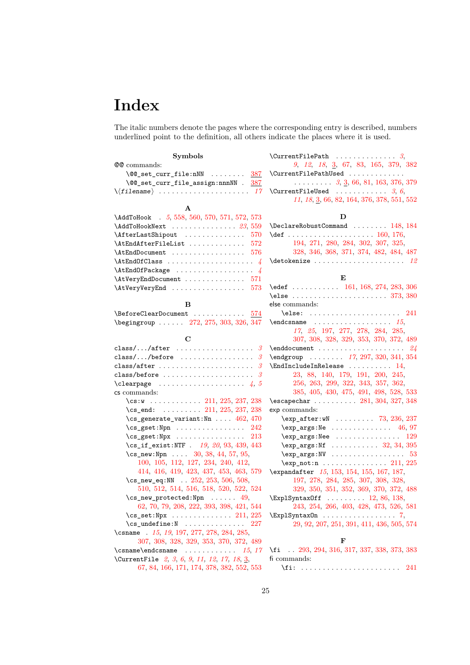# <span id="page-24-1"></span><span id="page-24-0"></span>**Index**

The italic numbers denote the pages where the corresponding entry is described, numbers underlined point to the definition, all others indicate the places where it is used.

| <b>Symbols</b>                                                     |                                                                                               |
|--------------------------------------------------------------------|-----------------------------------------------------------------------------------------------|
| @@ commands:                                                       | 9, 12, 18, 3, 67, 83, 165, 379, 382                                                           |
| $\sqrt{00}$ set curr file:nNN<br>387                               | \CurrentFilePathUsed                                                                          |
| \@@_set_curr_file_assign:nnnNN . 387                               | $\ldots$ 3, 3, 66, 81, 163, 376, 379                                                          |
|                                                                    | $\Upsilon$ urrentFileUsed  3, 6,                                                              |
|                                                                    | 11, 18, 3, 66, 82, 164, 376, 378, 551, 552                                                    |
| A                                                                  |                                                                                               |
| \AddToHook . 5, 558, 560, 570, 571, 572, 573                       | D                                                                                             |
| $\lambda$ AddToHookNext $23,559$                                   | $\Delta$ 148, 184                                                                             |
| \AfterLastShipout  570                                             |                                                                                               |
| \AtEndAfterFileList  572                                           | 194, 271, 280, 284, 302, 307, 325,                                                            |
| $\text{AtEndDocument} \dots \dots \dots \dots \dots \ 576$         | 328, 346, 368, 371, 374, 482, 484, 487                                                        |
|                                                                    | $\setminus$ detokenize  12                                                                    |
|                                                                    |                                                                                               |
| $\text{AtVeryEndDocument} \dots \dots \dots \dots \dots \quad 571$ | E                                                                                             |
|                                                                    |                                                                                               |
|                                                                    | \else  373, 380                                                                               |
| в                                                                  | else commands:                                                                                |
| $\text{DeforeClearDocument} \dots \dots \dots \dots \ 574$         | $\text{else:} \quad \ldots \quad \ldots \quad \ldots \quad \text{241}$                        |
| \begingroup  272, 275, 303, 326, 347                               | $\end{math}$ $\ldots$ $\ldots$ $\ldots$ $\ldots$ $\ldots$ $\ldots$ $\ldots$ $\ldots$ $\ldots$ |
| $\mathbf C$                                                        | 17, 25, 197, 277, 278, 284, 285,                                                              |
|                                                                    | 307, 308, 328, 329, 353, 370, 372, 489                                                        |
|                                                                    | \endgroup  17, 297, 320, 341, 354                                                             |
|                                                                    | $\text{EndIncludeInRelease} \dots \dots \dots \ 14,$                                          |
|                                                                    | 23, 88, 140, 179, 191, 200, 245,                                                              |
| \clearpage $4, 5$                                                  | 256, 263, 299, 322, 343, 357, 362,                                                            |
| cs commands:                                                       | 385, 405, 430, 475, 491, 498, 528, 533                                                        |
| \cs:w  211, 225, 237, 238                                          | \escapechar  281, 304, 327, 348                                                               |
| $\csc$ -end:  211, 225, 237, 238                                   | exp commands:                                                                                 |
| \cs_generate_variant:Nn  462, 470                                  | $\exp_{after:wN}$ 73, 236, 237                                                                |
| $\csc_2$ gset:Npn  242                                             | $\exp_{args:Ne$ 46, 97                                                                        |
| $\csc_2$ gset:Npx  213                                             | $\exp_args:$ Nee  129                                                                         |
| $\cs[if\_exist:NTF$ . 19, 20, 93, 439, 443                         | $\exp_args: Mf \ldots \ldots \ldots 32, 34, 395$                                              |
| \cs_new:Npn $30, 38, 44, 57, 95,$                                  | $\exp_args: NV \dots \dots \dots \dots \dots 53$                                              |
| 100, 105, 112, 127, 234, 240, 412,                                 | $\exp_{\texttt{not:n}} \ldots \ldots \ldots \ldots 211, 225$                                  |
| 414, 416, 419, 423, 437, 453, 463, 579                             | \expandafter 15, 153, 154, 155, 167, 187,                                                     |
| \cs_new_eq:NN . 252, 253, 506, 508,                                | 197, 278, 284, 285, 307, 308, 328,                                                            |
| 510, 512, 514, 516, 518, 520, 522, 524                             | 329, 350, 351, 352, 369, 370, 372, 488                                                        |
| $\csc_1$ new_protected:Npn  49,                                    | \ExplSyntax0ff  12, 86, 138,                                                                  |
| 62, 70, 79, 208, 222, 393, 398, 421, 544                           | 243, 254, 266, 403, 428, 473, 526, 581                                                        |
|                                                                    | $\text{ExplSyntaxOn} \dots \dots \dots \dots \dots$                                           |
| $\cs$ _undefine:N  227                                             | 29, 92, 207, 251, 391, 411, 436, 505, 574                                                     |
| \csname . 15, 19, 197, 277, 278, 284, 285,                         |                                                                                               |
| 307, 308, 328, 329, 353, 370, 372, 489                             | F                                                                                             |
|                                                                    | \fi 293, 294, 316, 317, 337, 338, 373, 383                                                    |
| \CurrentFile 2, 3, 6, 9, 11, 12, 17, 18, 3,                        | fi commands:                                                                                  |
| 67, 84, 166, 171, 174, 378, 382, 552, 553                          | $\pi: \ldots: \ldots: \ldots: \ldots: 241$                                                    |

| \CurrentFilePathUsed                                                                                        |
|-------------------------------------------------------------------------------------------------------------|
| $\ldots \ldots \ldots 3, \underline{3}, 66, 81, 163, 376, 379$                                              |
| \CurrentFileUsed $3, 6,$                                                                                    |
| 11, 18, 3, 66, 82, 164, 376, 378, 551, 552                                                                  |
| D                                                                                                           |
| \DeclareRobustCommand  148, 184                                                                             |
|                                                                                                             |
| 194, 271, 280, 284, 302, 307, 325,                                                                          |
| 328, 346, 368, 371, 374, 482, 484, 487                                                                      |
|                                                                                                             |
|                                                                                                             |
| E                                                                                                           |
| $\text{led}$ 161, 168, 274, 283, 306                                                                        |
| $\text{le } \ldots \ldots \ldots \ldots \ldots \quad 373, 380$                                              |
| else commands:                                                                                              |
| $\text{else:} \quad \ldots \quad \ldots \quad \text{241}$                                                   |
| $\end{math}$ cand $\ldots$ 15,                                                                              |
| 17, 25, 197, 277, 278, 284, 285,                                                                            |
| 307, 308, 328, 329, 353, 370, 372, 489                                                                      |
|                                                                                                             |
| $\begin{bmatrix} \text{endgroup} & \dots & \dots & 17, 297, 320, 341, 354 \end{bmatrix}$                    |
| $\text{EndIncludeInRelease} \dots \dots \dots \ 14,$                                                        |
| 23, 88, 140, 179, 191, 200, 245,                                                                            |
| 256, 263, 299, 322, 343, 357, 362,                                                                          |
| 385, 405, 430, 475, 491, 498, 528, 533                                                                      |
| $\text{Vescapechar } \ldots \ldots \text{ } 281, 304, 327, 348$                                             |
| exp commands:                                                                                               |
| $\exp_{\text{after}}$ :wN  73, 236, 237                                                                     |
| $\exp_2 \arg s : Ne \dots \dots \dots \dots 46, 97$                                                         |
| $\exp_args:$ Nee  129                                                                                       |
| $\text{key_args:}$ $\ldots$ 32, 34, 395                                                                     |
| $\text{key\_args:NV} \dots \dots \dots \dots \dots \ 53$                                                    |
| $\exp_{\text{not:n}} \dots \dots \dots \dots 211, 225$                                                      |
| \expandafter 15, 153, 154, 155, 167, 187,                                                                   |
|                                                                                                             |
| $\begin{array}{c} 197, 278, 284, 285, 307, 308, 328, \\ 329, 350, 351, 352, 369, 370, 372, 488 \end{array}$ |
| $\ExplSyntaxOff \ldots \ldots 12, 86, 138,$                                                                 |
| 243, 254, 266, 403, 428, 473, 526, 581                                                                      |
| $\text{ExplSyntaxOn} \dots \dots \dots \dots \dots \quad 7,$                                                |
| 29, 92, 207, 251, 391, 411, 436, 505, 574                                                                   |
|                                                                                                             |
| F                                                                                                           |
| \fi  293, 294, 316, 317, 337, 338, 373, 383                                                                 |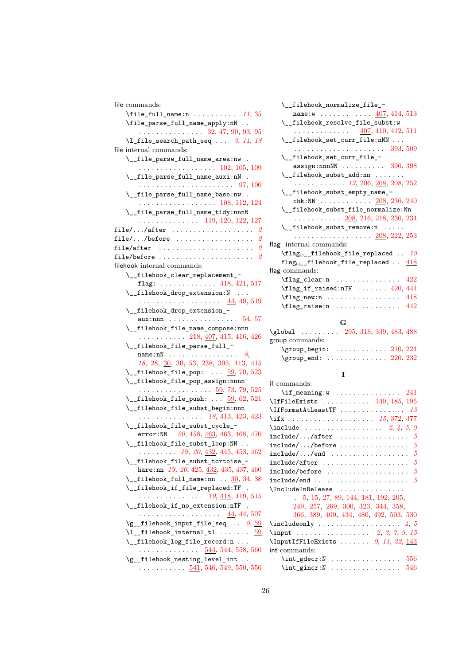| file commands:                                              |
|-------------------------------------------------------------|
| \file_full_name:n $11, 35$                                  |
| \file_parse_full_name_apply:nN                              |
| $\cdots$ 32, 47, 90, 93, 95                                 |
| $\lceil \frac{1}{1} \rceil$ ile_search_path_seq  3, 11, 18  |
| file internal commands:                                     |
| \__file_parse_full_name_area:nw .                           |
| $\cdots \cdots \cdots \cdots \cdots \cdots 102, 105, 109$   |
| \__file_parse_full_name_auxi:nN .                           |
|                                                             |
| \__file_parse_full_name_base:nw .                           |
| . 108, 112, 124                                             |
| \__file_parse_full_name_tidy:nnnN                           |
|                                                             |
| $\cdots \cdots \cdots \cdots \cdots 119, 120, 122, 127$     |
|                                                             |
|                                                             |
| file/after $2$                                              |
|                                                             |
| filehook internal commands:                                 |
| \__filehook_clear_replacement_-                             |
| flag: $\ldots \ldots \ldots \ldots$ 418, 421, 517           |
| \__filehook_drop_extension:N                                |
|                                                             |
| \__filehook_drop_extension_-                                |
| aux:nnn $\ldots \ldots \ldots \ldots \ldots 54, 57$         |
| \__filehook_file_name_compose:nnn                           |
| $\ldots \ldots \ldots 218, 407, 415, 416, 426$              |
| \__filehook_file_parse_full_-                               |
| name:n $N$ $8$ ,                                            |
| $18, 28, \underline{30}, 30, 53, 238, 395, 413, 415$        |
| $\setminus$ _filehook_file_pop: $\underline{59}$ , 70, 523  |
| \__filehook_file_pop_assign:nnnn                            |
| . 59, 73, 79, 525                                           |
| $\setminus$ _filehook_file_push: $\underline{59}$ , 62, 521 |
| \__filehook_file_subst_begin:nnn                            |
| $18, 413, 423, 423$                                         |
| \__filehook_file_subst_cycle_-                              |
| error: NN $20, 458, \underline{463}, 463, 468, 470$         |
| \__filehook_file_subst_loop:NN                              |
| $\ldots \ldots \ldots$ 19, 20, <u>432</u> , 445, 453, 462   |
| \__filehook_file_subst_tortoise_-                           |
| hare:nn $19, 20, 425, \underline{432}, 435, 437, 460$       |
| $\setminus$ _filehook_full_name:nn $\ldots$ 30, 34, 38      |
|                                                             |
| \__filehook_if_file_replaced:TF .                           |
| . 19, <u>418,</u> 419, 515                                  |
| \__filehook_if_no_extension:nTF .                           |
|                                                             |
| $\gtrsim$ _filehook_input_file_seq $9,59$                   |
|                                                             |
| \__filehook_log_file_record:n                               |
| <u>544</u> , 544, 558, 560                                  |
| \g__filehook_nesting_level_int                              |
| $\ldots \ldots \ldots$ 541, 546, 549, 550, 556              |

|              | \__filehook_normalize_file_-                                                                                               |
|--------------|----------------------------------------------------------------------------------------------------------------------------|
| 11, 35       | name: $w$ 407, 414, 513                                                                                                    |
| $\ddotsc$    | \__filehook_resolve_file_subst:w                                                                                           |
| 93, 95       | $\cdots$ 407, 410, 412, 511                                                                                                |
| 11, 18       | $\verb _{_filehook}$ and $\verb _{_f:1}$ is the setiment $\verb _{_f:1}$                                                   |
|              |                                                                                                                            |
|              | \__filehook_set_curr_file_-                                                                                                |
| 5, 109       | $\texttt{assign:nnnNN}$ 396, 398                                                                                           |
|              | $\_{_1}$ filehook_subst_add:nn                                                                                             |
| 7, 100       | $\ldots \ldots \ldots \ldots 13, 206, 208, 208, 252$                                                                       |
|              | \__filehook_subst_empty_name_-                                                                                             |
|              | chk: NN $\ldots \ldots \ldots \ldots \frac{208}{208}$ , 236, 240                                                           |
| 2, 124<br>nN | \__filehook_subst_file_normalize:Nn                                                                                        |
|              | $\ldots \ldots \ldots 208, 216, 218, 230, 234$                                                                             |
| 2,~127       | $\_{_1}$ :ilehook_subst_remove:n                                                                                           |
| . 2          | . <u>208,</u> 222, 253                                                                                                     |
| . 2          | flag internal commands:                                                                                                    |
| . 2          | $\left\{ \frac{1}{1} \right\}$ filehook_file_replaced  19                                                                  |
| . 2          | $flag_{\sqcup_{-}}filehook_file_{replaced}$ . $418$                                                                        |
|              | flag commands:                                                                                                             |
|              | 422                                                                                                                        |
| 1,517        | $\lfloor$ flag_clear:n                                                                                                     |
|              | $\theta_i$ : $\theta_i$ $\theta_i$ $\theta_i$ $\theta_i$ $\theta_i$ $\theta_i$ $\theta_i$ $\theta_i$ $\theta_i$ $\theta_i$ |
| .9,519       | $\frac{new:n \dots \dots \dots \dots \ 418}$                                                                               |
|              | $\theta$ . $442$                                                                                                           |
| EA ET        |                                                                                                                            |

#### **G**

| \global  295, 318, 339, 483, 488                                                                                                                                                                                                                                                                                                             |  |  |  |
|----------------------------------------------------------------------------------------------------------------------------------------------------------------------------------------------------------------------------------------------------------------------------------------------------------------------------------------------|--|--|--|
| group commands:                                                                                                                                                                                                                                                                                                                              |  |  |  |
| $\qquad$ $\qquad$ $\qquad$ $\qquad$ $\qquad$ $\qquad$ $\qquad$ $\qquad$ $\qquad$ $\qquad$ $\qquad$ $\qquad$ $\qquad$ $\qquad$ $\qquad$ $\qquad$ $\qquad$ $\qquad$ $\qquad$ $\qquad$ $\qquad$ $\qquad$ $\qquad$ $\qquad$ $\qquad$ $\qquad$ $\qquad$ $\qquad$ $\qquad$ $\qquad$ $\qquad$ $\qquad$ $\qquad$ $\qquad$ $\qquad$ $\qquad$ $\qquad$ |  |  |  |
| $\qquad$ $220, 232$                                                                                                                                                                                                                                                                                                                          |  |  |  |

## **I**

| if commands:                                             |
|----------------------------------------------------------|
| $\iint_{\text{meaning}:W}$ 241                           |
| \IfFileExists  149, 185, 195                             |
| $\setminus$ IfFormatAtLeastTF  13                        |
| \ifx  15, 372, 377                                       |
| \include  2, 4, 5, 9                                     |
|                                                          |
| $include/\dots/before \dots \dots \dots \dots \dots \ 5$ |
|                                                          |
|                                                          |
| $\verb include/before  \dots  \dots  \dots  \dots $      |
|                                                          |
|                                                          |
| 5, 15, 27, 89, 144, 181, 192, 205,                       |
| 249, 257, 269, 300, 323, 344, 358,                       |
| 366, 389, 409, 434, 480, 492, 503, 530                   |
| $\in$                                                    |
|                                                          |
| $\Input$ IfFileExists  9, 11, 22, 143                    |
| int commands:                                            |
| $\int_g \text{decr: } N \ldots \ldots \ldots \quad 556$  |
| 546                                                      |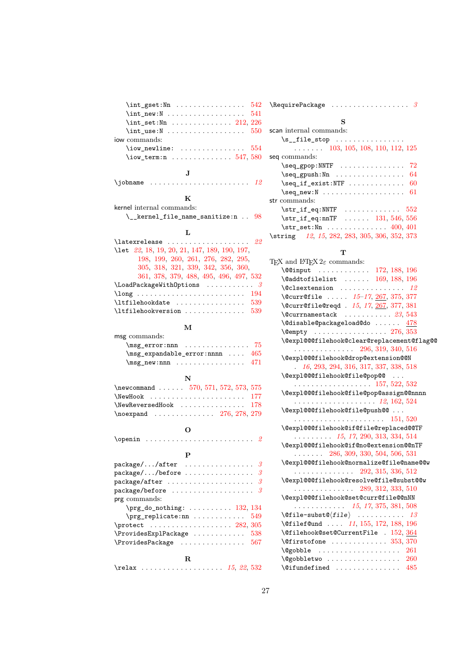| $\int_g \text{set}: \text{Nn} \dots \dots \dots \dots$<br>542         |
|-----------------------------------------------------------------------|
| 541                                                                   |
| $\int \text{set}: \text{Nn} \dots \dots \dots \dots \quad 212, 226$   |
| $\int_{{\mathbb R}} \text{ use } {\mathbb R}$<br>550                  |
| iow commands:                                                         |
| $\{\mathtt{iow\_neuline:}\ \dots\dots\dots\dots \ \ 554$              |
| $\iota$ iow_term:n  547,580                                           |
|                                                                       |
| J                                                                     |
| \jobname $\ldots \ldots \ldots \ldots \ldots \ldots \ldots$           |
|                                                                       |
| ĸ<br>kernel internal commands:                                        |
| $\_{\texttt{j}}$ kernel_file_name_sanitize:n  98                      |
|                                                                       |
| L                                                                     |
| $\lambda$ atexrelease $22$                                            |
| \let 22, 18, 19, 20, 21, 147, 189, 190, 197,                          |
| 198, 199, 260, 261, 276, 282, 295,                                    |
| 305, 318, 321, 339, 342, 356, 360,                                    |
| 361, 378, 379, 488, 495, 496, 497, 532                                |
| $\Lambda$ LoadPackageWithOptions 3                                    |
|                                                                       |
| $\lvert \text{1tfilehookdate} \ldots \ldots \ldots \ldots 539 \rvert$ |
| \ltfilehookversion<br>539                                             |
|                                                                       |
| м                                                                     |
| msg commands:                                                         |
| $\text{msg\_error:nnn}$ 75                                            |
| $\n\{msg\_expandable_error:nnnn \dots 465$                            |
| 471                                                                   |
|                                                                       |
| N                                                                     |
| \newcommand  570, 571, 572, 573, 575                                  |
| 177<br>$\NewHook$                                                     |
| $\N$ ewReversedHook  178                                              |
| $\neq 276, 278, 279$                                                  |
| О                                                                     |
| . 2<br>$\operatorname{openin} \dots \dots \dots$                      |
|                                                                       |
| P                                                                     |
| package//after<br>3                                                   |
| package//before<br>3                                                  |
| package/after<br>3                                                    |
| package/before<br>3<br>.                                              |
| prg commands:                                                         |
| $\prg_d$ o_nothing:  132, 134                                         |
| $\prg_replicate:nn   $<br>549                                         |
| \protect  282, 305                                                    |

\ProvidesExplPackage ............. [538](#page-22-22) \ProvidesPackage . . . . . . . . . . . . . . . [567](#page-23-14) **R** \relax . . . . . . . . . . . . . . . . . . . *[15](#page-14-3)*, *[22](#page-21-27)*, [532](#page-22-20)

| scan internal commands:                                         |
|-----------------------------------------------------------------|
| $\s_{1}$ ile_stop                                               |
| $\ldots$ $\ldots$ 103, 105, 108, 110, 112, 125                  |
| seq commands:                                                   |
| $\seq_{\text{gpop}}: \text{NNF} \dots \dots \dots \dots$<br>72  |
| 64                                                              |
| $\seq_i f_{exist:NTF}$<br>60                                    |
| 61                                                              |
| str commands:                                                   |
|                                                                 |
| $\strut \text{str}_i f_{eq:nnTF}$ 131, 546, 556                 |
| $\strut\text{str}\_set:\text{Nn}\_1\ldots\ldots\ldots\_400,401$ |
| \string 12, 15, 282, 283, 305, 306, 352, 373                    |

#### **T**

| T <sub>E</sub> X and L <sup>e</sup> T <sub>E</sub> X $2\varepsilon$ commands: |
|-------------------------------------------------------------------------------|
| \@@input  172, 188, 196                                                       |
| $\delta$ \@addtofilelist  169, 188, 196                                       |
| $\text{Q}$ clsextension  12                                                   |
| \@curr@file  15-17, 267, 375, 377                                             |
| \@curr@file@reqd . 15, 17, 267, 377, 381                                      |
| $\text{C}$ currnamestack $23,543$                                             |
| \@disable@packageload@do  478                                                 |
|                                                                               |
| \@expl@@@filehook@clear@replacement@flag@@                                    |
| $\ldots \ldots \ldots \ldots 296, 319, 340, 516$                              |
| \@expl@@@filehook@drop@extension@@N                                           |
| 16, 293, 294, 316, 317, 337, 338, 518                                         |
| \@expl@@@filehook@file@pop@@                                                  |
| . 157, 522, 532                                                               |
| \@expl@@@filehook@file@pop@assign@@nnnn                                       |
|                                                                               |
| \@expl@@@filehook@file@push@@                                                 |
|                                                                               |
| \@expl@@@filehook@if@file@replaced@@TF                                        |
| $\ldots \ldots \ldots 15, 17, 290, 313, 334, 514$                             |
| \@expl@@@filehook@if@no@extension@@nTF                                        |
| $\ldots$ $\ldots$ 286, 309, 330, 504, 506, 531                                |
| \@expl@@@filehook@normalize@file@name@@w                                      |
| . 292, 315, 336, 512                                                          |
| \@expl@@@filehook@resolve@file@subst@@w                                       |
| $\cdots$ 289, 312, 333, 510                                                   |
| \@expl@@@filehook@set@curr@file@@nNN                                          |
| $\ldots \ldots \ldots \ldots \quad 15, 17, 375, 381, 508$                     |
|                                                                               |
| \@filef@und  11, 155, 172, 188, 196                                           |
| \@filehook@set@CurrentFile . 152, 364                                         |
| $\sqrt{9}$ and $\sqrt{353}$ , 370                                             |
| $\texttt{\textbackslash@gobble}\quad\ldots\ldots\ldots\ldots\ldots\quad 261$  |
| $\qquad$ Qgobbletwo  260                                                      |
| $\setminus$ @ifundefined  485                                                 |
|                                                                               |